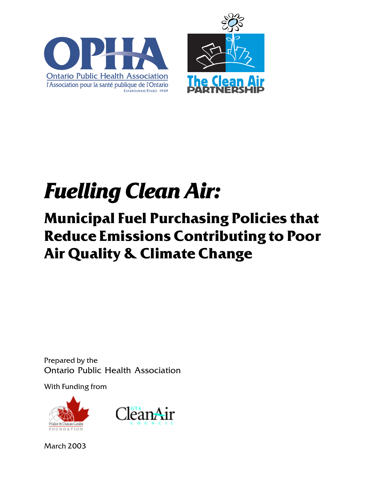

# *Fuelling Clean Air:*

## **Municipal Fuel Purchasing Policies that Reduce Emissions Contributing to Poor Air Quality & Climate Change**

Prepared by the Ontario Public Health Association

With Funding from





March 2003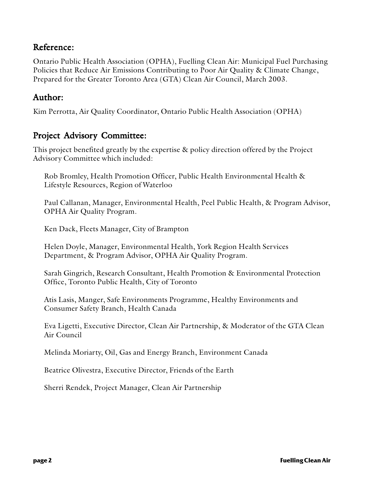## Reference:

Ontario Public Health Association (OPHA), Fuelling Clean Air: Municipal Fuel Purchasing Policies that Reduce Air Emissions Contributing to Poor Air Quality & Climate Change, Prepared for the Greater Toronto Area (GTA) Clean Air Council, March 2003.

### Author:

Kim Perrotta, Air Quality Coordinator, Ontario Public Health Association (OPHA)

## Project Advisory Committee:

This project benefited greatly by the expertise & policy direction offered by the Project Advisory Committee which included:

Rob Bromley, Health Promotion Officer, Public Health Environmental Health & Lifestyle Resources, Region of Waterloo

Paul Callanan, Manager, Environmental Health, Peel Public Health, & Program Advisor, OPHA Air Quality Program.

Ken Dack, Fleets Manager, City of Brampton

Helen Doyle, Manager, Environmental Health, York Region Health Services Department, & Program Advisor, OPHA Air Quality Program.

Sarah Gingrich, Research Consultant, Health Promotion & Environmental Protection Office, Toronto Public Health, City of Toronto

Atis Lasis, Manger, Safe Environments Programme, Healthy Environments and Consumer Safety Branch, Health Canada

Eva Ligetti, Executive Director, Clean Air Partnership, & Moderator of the GTA Clean Air Council

Melinda Moriarty, Oil, Gas and Energy Branch, Environment Canada

Beatrice Olivestra, Executive Director, Friends of the Earth

Sherri Rendek, Project Manager, Clean Air Partnership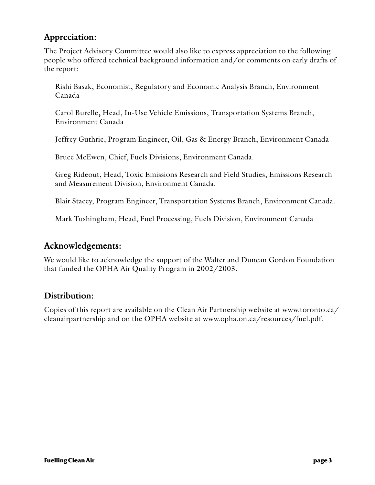## Appreciation:

The Project Advisory Committee would also like to express appreciation to the following people who offered technical background information and/or comments on early drafts of the report:

Rishi Basak, Economist, Regulatory and Economic Analysis Branch, Environment Canada

Carol Burelle, Head, In-Use Vehicle Emissions, Transportation Systems Branch, , Environment Canada

Jeffrey Guthrie, Program Engineer, Oil, Gas & Energy Branch, Environment Canada

Bruce McEwen, Chief, Fuels Divisions, Environment Canada.

Greg Rideout, Head, Toxic Emissions Research and Field Studies, Emissions Research and Measurement Division, Environment Canada.

Blair Stacey, Program Engineer, Transportation Systems Branch, Environment Canada.

Mark Tushingham, Head, Fuel Processing, Fuels Division, Environment Canada

## Acknowledgements:

We would like to acknowledge the support of the Walter and Duncan Gordon Foundation that funded the OPHA Air Quality Program in 2002/2003.

## Distribution:

Copies of this report are available on the Clean Air Partnership website at www.toronto.ca/ cleanairpartnership and on the OPHA website at www.opha.on.ca/resources/fuel.pdf.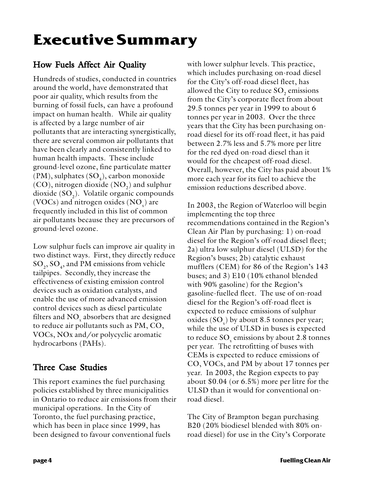## **Executive Summary**

## How Fuels Affect Air Quality

Hundreds of studies, conducted in countries around the world, have demonstrated that poor air quality, which results from the burning of fossil fuels, can have a profound impact on human health. While air quality is affected by a large number of air pollutants that are interacting synergistically, there are several common air pollutants that have been clearly and consistently linked to human health impacts. These include ground-level ozone, fine particulate matter (PM), sulphates (SO<sub>4</sub>), carbon monoxide  $(CO)$ , nitrogen dioxide  $(NO<sub>2</sub>)$  and sulphur dioxide  $(SO<sub>2</sub>)$ . Volatile organic compounds (VOCs) and nitrogen oxides  $(\mathrm{NO_x})$  are frequently included in this list of common air pollutants because they are precursors of ground-level ozone.

Low sulphur fuels can improve air quality in two distinct ways. First, they directly reduce  $\mathrm{SO}_2,\mathrm{SO}_4,$  and PM emissions from vehicle tailpipes. Secondly, they increase the effectiveness of existing emission control devices such as oxidation catalysts, and enable the use of more advanced emission control devices such as diesel particulate filters and  $\mathrm{NO}_{_\mathrm{x}}$  absorbers that are designed to reduce air pollutants such as PM, CO, VOCs, NOx and/or polycyclic aromatic hydrocarbons (PAHs).

## Three Case Studies

This report examines the fuel purchasing policies established by three municipalities in Ontario to reduce air emissions from their municipal operations. In the City of Toronto, the fuel purchasing practice, which has been in place since 1999, has been designed to favour conventional fuels

with lower sulphur levels. This practice, which includes purchasing on-road diesel for the City's off-road diesel fleet, has allowed the City to reduce  $SO<sub>2</sub>$  emissions from the City's corporate fleet from about 29.5 tonnes per year in 1999 to about 6 tonnes per year in 2003. Over the three years that the City has been purchasing onroad diesel for its off-road fleet, it has paid between 2.7% less and 5.7% more per litre for the red dyed on-road diesel than it would for the cheapest off-road diesel. Overall, however, the City has paid about 1% more each year for its fuel to achieve the emission reductions described above.

In 2003, the Region of Waterloo will begin implementing the top three recommendations contained in the Region's Clean Air Plan by purchasing: 1) on-road diesel for the Region's off-road diesel fleet; 2a) ultra low sulphur diesel (ULSD) for the Region's buses; 2b) catalytic exhaust mufflers (CEM) for 86 of the Region's 143 buses; and 3) E10 (10% ethanol blended with 90% gasoline) for the Region's gasoline-fuelled fleet. The use of on-road diesel for the Region's off-road fleet is expected to reduce emissions of sulphur oxides ( $\text{SO}_{\text{x}}$ ) by about 8.5 tonnes per year; while the use of ULSD in buses is expected to reduce SO $_{\mathrm{x}}^{}$  emissions by about 2.8 tonnes per year. The retrofitting of buses with CEMs is expected to reduce emissions of CO, VOCs, and PM by about 17 tonnes per year. In 2003, the Region expects to pay about \$0.04 (or 6.5%) more per litre for the ULSD than it would for conventional onroad diesel.

The City of Brampton began purchasing B20 (20% biodiesel blended with 80% onroad diesel) for use in the City's Corporate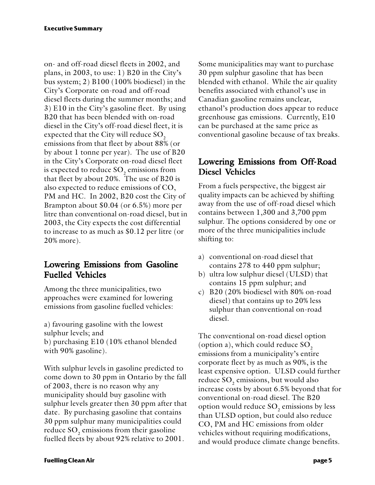on- and off-road diesel fleets in 2002, and plans, in 2003, to use: 1) B20 in the City's bus system; 2) B100 (100% biodiesel) in the City's Corporate on-road and off-road diesel fleets during the summer months; and 3) E10 in the City's gasoline fleet. By using B20 that has been blended with on-road diesel in the City's off-road diesel fleet, it is expected that the City will reduce SO<sub>2</sub> emissions from that fleet by about 88% (or by about 1 tonne per year). The use of B20 in the City's Corporate on-road diesel fleet is expected to reduce  $SO<sub>2</sub>$  emissions from that fleet by about 20%. The use of B20 is also expected to reduce emissions of CO, PM and HC. In 2002, B20 cost the City of Brampton about \$0.04 (or 6.5%) more per litre than conventional on-road diesel, but in 2003, the City expects the cost differential to increase to as much as \$0.12 per litre (or 20% more).

## Lowering Emissions from Gasoline Fuelled Vehicles

Among the three municipalities, two approaches were examined for lowering emissions from gasoline fuelled vehicles:

a) favouring gasoline with the lowest sulphur levels; and b) purchasing E10 (10% ethanol blended with 90% gasoline).

With sulphur levels in gasoline predicted to come down to 30 ppm in Ontario by the fall of 2003, there is no reason why any municipality should buy gasoline with sulphur levels greater then 30 ppm after that date. By purchasing gasoline that contains 30 ppm sulphur many municipalities could reduce SO<sub>2</sub> emissions from their gasoline fuelled fleets by about 92% relative to 2001.

Some municipalities may want to purchase 30 ppm sulphur gasoline that has been blended with ethanol. While the air quality benefits associated with ethanol's use in Canadian gasoline remains unclear, ethanol's production does appear to reduce greenhouse gas emissions. Currently, E10 can be purchased at the same price as conventional gasoline because of tax breaks.

## Lowering Emissions from Off-Road Diesel Vehicles

From a fuels perspective, the biggest air quality impacts can be achieved by shifting away from the use of off-road diesel which contains between 1,300 and 3,700 ppm sulphur. The options considered by one or more of the three municipalities include shifting to:

- a) conventional on-road diesel that contains 278 to 440 ppm sulphur;
- b) ultra low sulphur diesel (ULSD) that contains 15 ppm sulphur; and
- c) B20 (20% biodiesel with 80% on-road diesel) that contains up to 20% less sulphur than conventional on-road diesel.

The conventional on-road diesel option (option a), which could reduce  $SO<sub>2</sub>$ emissions from a municipality's entire corporate fleet by as much as 90%, is the least expensive option. ULSD could further reduce SO<sub>2</sub> emissions, but would also increase costs by about 6.5% beyond that for conventional on-road diesel. The B20 option would reduce  $SO<sub>2</sub>$  emissions by less than ULSD option, but could also reduce CO, PM and HC emissions from older vehicles without requiring modifications, and would produce climate change benefits.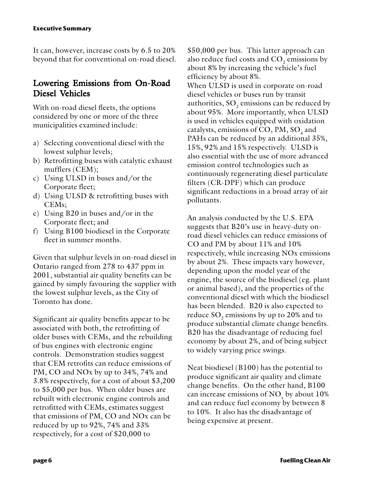#### **Executive Summary**

It can, however, increase costs by 6.5 to 20% beyond that for conventional on-road diesel.

## Lowering Emissions from On-Road Diesel Vehicles

With on-road diesel fleets, the options considered by one or more of the three municipalities examined include:

- a) Selecting conventional diesel with the lowest sulphur levels;
- b) Retrofitting buses with catalytic exhaust mufflers (CEM);
- c) Using ULSD in buses and/or the Corporate fleet;
- d) Using ULSD & retrofitting buses with CEMs;
- e) Using B20 in buses and/or in the Corporate fleet; and
- f) Using B100 biodiesel in the Corporate fleet in summer months.

Given that sulphur levels in on-road diesel in Ontario ranged from 278 to 437 ppm in 2001, substantial air quality benefits can be gained by simply favouring the supplier with the lowest sulphur levels, as the City of Toronto has done.

Significant air quality benefits appear to be associated with both, the retrofitting of older buses with CEMs, and the rebuilding of bus engines with electronic engine controls. Demonstration studies suggest that CEM retrofits can reduce emissions of PM, CO and NOx by up to 34%, 74% and 3.8% respectively, for a cost of about \$3,200 to \$5,000 per bus. When older buses are rebuilt with electronic engine controls and retrofitted with CEMs, estimates suggest that emissions of PM, CO and NOx can be reduced by up to 92%, 74% and 33% respectively, for a cost of \$20,000 to

\$50,000 per bus. This latter approach can also reduce fuel costs and CO<sub>2</sub> emissions by about 8% by increasing the vehicle's fuel efficiency by about 8%.

When ULSD is used in corporate on-road diesel vehicles or buses run by transit authorities,  $SO<sub>2</sub>$  emissions can be reduced by about 95%. More importantly, when ULSD is used in vehicles equipped with oxidation catalysts, emissions of CO, PM, SO<sub>4</sub> and PAHs can be reduced by an additional 35%, 15%, 92% and 15% respectively. ULSD is also essential with the use of more advanced emission control technologies such as continuously regenerating diesel particulate filters (CR-DPF) which can produce significant reductions in a broad array of air pollutants.

An analysis conducted by the U.S. EPA suggests that B20's use in heavy-duty onroad diesel vehicles can reduce emissions of CO and PM by about 11% and 10% respectively, while increasing NOx emissions by about 2%. These impacts vary however, depending upon the model year of the engine, the source of the biodiesel (eg. plant or animal based), and the properties of the conventional diesel with which the biodiesel has been blended. B20 is also expected to reduce  $SO$ , emissions by up to 20% and to produce substantial climate change benefits. B20 has the disadvantage of reducing fuel economy by about 2%, and of being subject to widely varying price swings.

Neat biodiesel (B100) has the potential to produce significant air quality and climate change benefits. On the other hand, B100 can increase emissions of  $\mathrm{NO}_{\mathrm{x}}$  by about  $10\%$ and can reduce fuel economy by between 8 to 10%. It also has the disadvantage of being expensive at present.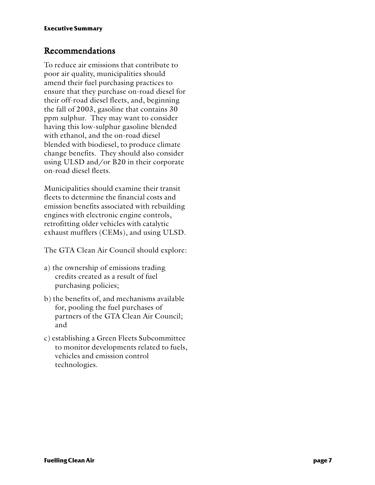### Recommendations

To reduce air emissions that contribute to poor air quality, municipalities should amend their fuel purchasing practices to ensure that they purchase on-road diesel for their off-road diesel fleets, and, beginning the fall of 2003, gasoline that contains 30 ppm sulphur. They may want to consider having this low-sulphur gasoline blended with ethanol, and the on-road diesel blended with biodiesel, to produce climate change benefits. They should also consider using ULSD and/or B20 in their corporate on-road diesel fleets.

Municipalities should examine their transit fleets to determine the financial costs and emission benefits associated with rebuilding engines with electronic engine controls, retrofitting older vehicles with catalytic exhaust mufflers (CEMs), and using ULSD.

The GTA Clean Air Council should explore:

- a) the ownership of emissions trading credits created as a result of fuel purchasing policies;
- b) the benefits of, and mechanisms available for, pooling the fuel purchases of partners of the GTA Clean Air Council; and
- c) establishing a Green Fleets Subcommittee to monitor developments related to fuels, vehicles and emission control technologies.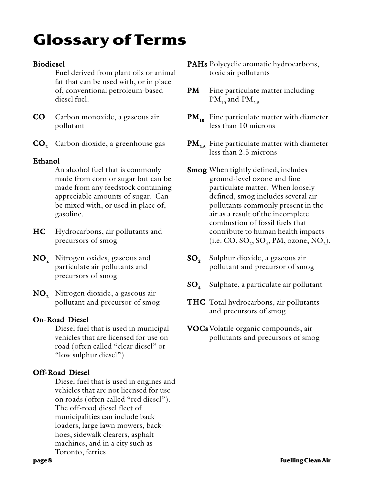## **Glossary of Terms**

#### Biodiesel

Fuel derived from plant oils or animal fat that can be used with, or in place of, conventional petroleum-based diesel fuel.

- **CO** Carbon monoxide, a gaseous air pollutant
- CO2 Carbon dioxide, a greenhouse gas

#### **Ethanol**

An alcohol fuel that is commonly made from corn or sugar but can be made from any feedstock containing appreciable amounts of sugar. Can be mixed with, or used in place of, gasoline.

- HC Hydrocarbons, air pollutants and precursors of smog
- **NO**<sub>x</sub> Nitrogen oxides, gaseous and particulate air pollutants and precursors of smog
- NO<sub>2</sub> Nitrogen dioxide, a gaseous air pollutant and precursor of smog

#### On-Road Diesel

Diesel fuel that is used in municipal vehicles that are licensed for use on road (often called "clear diesel" or "low sulphur diesel")

#### Off-Road Diesel

Diesel fuel that is used in engines and vehicles that are not licensed for use on roads (often called "red diesel"). The off-road diesel fleet of municipalities can include back loaders, large lawn mowers, backhoes, sidewalk clearers, asphalt machines, and in a city such as Toronto, ferries.

- PAHs Polycyclic aromatic hydrocarbons, toxic air pollutants
- **PM** Fine particulate matter including  $PM_{10}$  and  $PM_{2.5}$
- PM<sub>10</sub> Fine particulate matter with diameter less than 10 microns
- $PM<sub>2.5</sub>$  Fine particulate matter with diameter less than 2.5 microns
- Smog When tightly defined, includes ground-level ozone and fine particulate matter. When loosely defined, smog includes several air pollutants commonly present in the air as a result of the incomplete combustion of fossil fuels that contribute to human health impacts (i.e.  $CO$ ,  $SO_2$ ,  $SO_4$ ,  $PM$ , ozone,  $NO_2$ ).
- **SO**, Sulphur dioxide, a gaseous air pollutant and precursor of smog
- SO4 Sulphate, a particulate air pollutant
- **THC** Total hydrocarbons, air pollutants and precursors of smog
- VOCsVolatile organic compounds, air pollutants and precursors of smog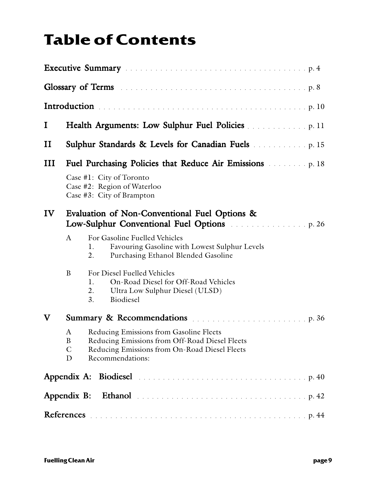## **Table of Contents**

|             | Executive Summary conservation of the conservation of the conservation of p. 4                                                                                                                                |
|-------------|---------------------------------------------------------------------------------------------------------------------------------------------------------------------------------------------------------------|
|             | Glossary of Terms And All Contains and All Contains and Terms All Contains and All Contains and P.8                                                                                                           |
|             |                                                                                                                                                                                                               |
| I           | Health Arguments: Low Sulphur Fuel Policies                                                                                                                                                                   |
| п           | <b>Sulphur Standards &amp; Levels for Canadian Fuels Sulphur Standards &amp; Levels for Canadian Fuels</b>                                                                                                    |
| Ш           | <b>Fuel Purchasing Policies that Reduce Air Emissions Example 18</b>                                                                                                                                          |
|             | Case #1: City of Toronto<br>Case #2: Region of Waterloo<br>Case #3: City of Brampton                                                                                                                          |
| IV          | Evaluation of Non-Conventional Fuel Options &<br>Low-Sulphur Conventional Fuel Options <b>Example 20</b> p. 26                                                                                                |
|             | For Gasoline Fuelled Vehicles<br>$\mathbf{A}$<br>Favouring Gasoline with Lowest Sulphur Levels<br>1.<br>Purchasing Ethanol Blended Gasoline<br>2.                                                             |
|             | B<br>For Diesel Fuelled Vehicles<br>On-Road Diesel for Off-Road Vehicles<br>1.<br>Ultra Low Sulphur Diesel (ULSD)<br>2.<br>3.<br>Biodiesel                                                                    |
| $\mathbf v$ |                                                                                                                                                                                                               |
|             | Reducing Emissions from Gasoline Fleets<br>A<br>$\boldsymbol{B}$<br>Reducing Emissions from Off-Road Diesel Fleets<br>$\mathcal{C}$<br>Reducing Emissions from On-Road Diesel Fleets<br>Recommendations:<br>D |
|             |                                                                                                                                                                                                               |
|             | Appendix B:<br>Ethanol environment and construction of the p. 42                                                                                                                                              |
|             |                                                                                                                                                                                                               |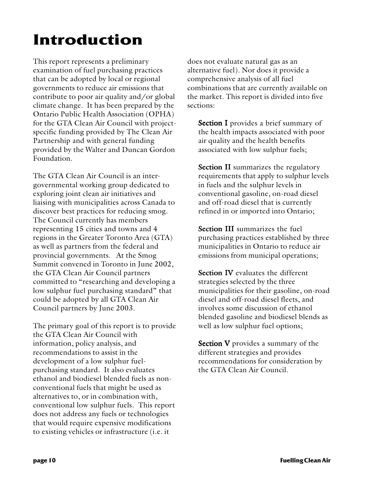## **Introduction**

This report represents a preliminary examination of fuel purchasing practices that can be adopted by local or regional governments to reduce air emissions that contribute to poor air quality and/or global climate change. It has been prepared by the Ontario Public Health Association (OPHA) for the GTA Clean Air Council with projectspecific funding provided by The Clean Air Partnership and with general funding provided by the Walter and Duncan Gordon Foundation.

The GTA Clean Air Council is an intergovernmental working group dedicated to exploring joint clean air initiatives and liaising with municipalities across Canada to discover best practices for reducing smog. The Council currently has members representing 15 cities and towns and 4 regions in the Greater Toronto Area (GTA) as well as partners from the federal and provincial governments. At the Smog Summit convened in Toronto in June 2002, the GTA Clean Air Council partners committed to "researching and developing a low sulphur fuel purchasing standard" that could be adopted by all GTA Clean Air Council partners by June 2003.

The primary goal of this report is to provide the GTA Clean Air Council with information, policy analysis, and recommendations to assist in the development of a low sulphur fuelpurchasing standard. It also evaluates ethanol and biodiesel blended fuels as nonconventional fuels that might be used as alternatives to, or in combination with, conventional low sulphur fuels. This report does not address any fuels or technologies that would require expensive modifications to existing vehicles or infrastructure (i.e. it

does not evaluate natural gas as an alternative fuel). Nor does it provide a comprehensive analysis of all fuel combinations that are currently available on the market. This report is divided into five sections:

**Section I** provides a brief summary of the health impacts associated with poor air quality and the health benefits associated with low sulphur fuels;

**Section II** summarizes the regulatory requirements that apply to sulphur levels in fuels and the sulphur levels in conventional gasoline, on-road diesel and off-road diesel that is currently refined in or imported into Ontario;

Section III summarizes the fuel purchasing practices established by three municipalities in Ontario to reduce air emissions from municipal operations;

Section IV evaluates the different strategies selected by the three municipalities for their gasoline, on-road diesel and off-road diesel fleets, and involves some discussion of ethanol blended gasoline and biodiesel blends as well as low sulphur fuel options;

Section V provides a summary of the different strategies and provides recommendations for consideration by the GTA Clean Air Council.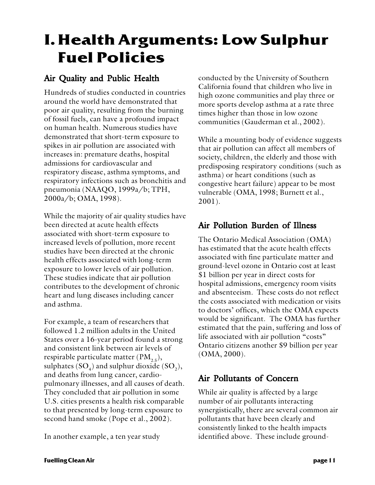## **I. Health Arguments: Low Sulphur Fuel Policies**

## Air Quality and Public Health

Hundreds of studies conducted in countries around the world have demonstrated that poor air quality, resulting from the burning of fossil fuels, can have a profound impact on human health. Numerous studies have demonstrated that short-term exposure to spikes in air pollution are associated with increases in: premature deaths, hospital admissions for cardiovascular and respiratory disease, asthma symptoms, and respiratory infections such as bronchitis and pneumonia (NAAQO, 1999a/b; TPH, 2000a/b; OMA, 1998).

While the majority of air quality studies have been directed at acute health effects associated with short-term exposure to increased levels of pollution, more recent studies have been directed at the chronic health effects associated with long-term exposure to lower levels of air pollution. These studies indicate that air pollution contributes to the development of chronic heart and lung diseases including cancer and asthma.

For example, a team of researchers that followed 1.2 million adults in the United States over a 16-year period found a strong and consistent link between air levels of respirable particulate matter  $(PM_{2.5})$ , sulphates  $(\mathrm{SO}_4)$  and sulphur dioxide  $(\mathrm{SO}_2)$ , and deaths from lung cancer, cardiopulmonary illnesses, and all causes of death. They concluded that air pollution in some U.S. cities presents a health risk comparable to that presented by long-term exposure to second hand smoke (Pope et al., 2002).

In another example, a ten year study

conducted by the University of Southern California found that children who live in high ozone communities and play three or more sports develop asthma at a rate three times higher than those in low ozone communities (Gauderman et al., 2002).

While a mounting body of evidence suggests that air pollution can affect all members of society, children, the elderly and those with predisposing respiratory conditions (such as asthma) or heart conditions (such as congestive heart failure) appear to be most vulnerable (OMA, 1998; Burnett et al., 2001).

## Air Pollution Burden of Illness

The Ontario Medical Association (OMA) has estimated that the acute health effects associated with fine particulate matter and ground-level ozone in Ontario cost at least \$1 billion per year in direct costs for hospital admissions, emergency room visits and absenteeism. These costs do not reflect the costs associated with medication or visits to doctors' offices, which the OMA expects would be significant. The OMA has further estimated that the pain, suffering and loss of life associated with air pollution "costs" Ontario citizens another \$9 billion per year (OMA, 2000).

## Air Pollutants of Concern

While air quality is affected by a large number of air pollutants interacting synergistically, there are several common air pollutants that have been clearly and consistently linked to the health impacts identified above. These include ground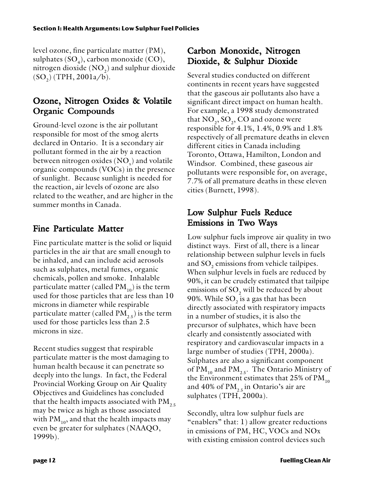level ozone, fine particulate matter (PM), sulphates  $(\mathrm{SO}_4)$ , carbon monoxide  $(\mathrm{CO}),$ nitrogen dioxide  $(NO<sub>2</sub>)$  and sulphur dioxide  $(SO<sub>2</sub>)$  (TPH, 2001a/b).

## Ozone, Nitrogen Oxides & Volatile Organic Compounds

Ground-level ozone is the air pollutant responsible for most of the smog alerts declared in Ontario. It is a secondary air pollutant formed in the air by a reaction between nitrogen oxides ( $\rm NO_x^{}$ ) and volatile organic compounds (VOCs) in the presence of sunlight. Because sunlight is needed for the reaction, air levels of ozone are also related to the weather, and are higher in the summer months in Canada.

## Fine Particulate Matter

Fine particulate matter is the solid or liquid particles in the air that are small enough to be inhaled, and can include acid aerosols such as sulphates, metal fumes, organic chemicals, pollen and smoke. Inhalable particulate matter (called  $PM_{10}$ ) is the term used for those particles that are less than 10 microns in diameter while respirable particulate matter (called  $PM_{2,5}$ ) is the term used for those particles less than 2.5 microns in size.

Recent studies suggest that respirable particulate matter is the most damaging to human health because it can penetrate so deeply into the lungs. In fact, the Federal Provincial Working Group on Air Quality Objectives and Guidelines has concluded that the health impacts associated with  $PM_{2.5}$ may be twice as high as those associated with  $PM_{10}$ , and that the health impacts may even be greater for sulphates (NAAQO, 1999b).

## Carbon Monoxide, Nitrogen Dioxide, & Sulphur Dioxide

Several studies conducted on different continents in recent years have suggested that the gaseous air pollutants also have a significant direct impact on human health. For example, a 1998 study demonstrated that  $NO_2$ ,  $SO_2$ ,  $CO$  and ozone were responsible for 4.1%, 1.4%, 0.9% and 1.8% respectively of all premature deaths in eleven different cities in Canada including Toronto, Ottawa, Hamilton, London and Windsor. Combined, these gaseous air pollutants were responsible for, on average, 7.7% of all premature deaths in these eleven cities (Burnett, 1998).

## Low Sulphur Fuels Reduce Emissions in Two Ways

Low sulphur fuels improve air quality in two distinct ways. First of all, there is a linear relationship between sulphur levels in fuels and SO<sub>2</sub> emissions from vehicle tailpipes. When sulphur levels in fuels are reduced by 90%, it can be crudely estimated that tailpipe emissions of SO<sub>2</sub> will be reduced by about 90%. While SO<sub>2</sub> is a gas that has been directly associated with respiratory impacts in a number of studies, it is also the precursor of sulphates, which have been clearly and consistently associated with respiratory and cardiovascular impacts in a large number of studies (TPH, 2000a). Sulphates are also a significant component of  $PM_{10}$  and  $PM_{2.5}$ . The Ontario Ministry of the Environment estimates that  $25\%$  of  $PM_{10}$ and 40% of  $PM_{2,5}$  in Ontario's air are sulphates (TPH, 2000a).

Secondly, ultra low sulphur fuels are "enablers" that: 1) allow greater reductions in emissions of PM, HC, VOCs and NOx with existing emission control devices such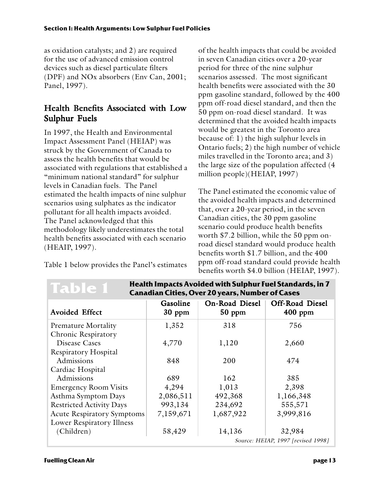as oxidation catalysts; and 2) are required for the use of advanced emission control devices such as diesel particulate filters (DPF) and NOx absorbers (Env Can, 2001; Panel, 1997).

## Health Benefits Associated with Low Sulphur Fuels

In 1997, the Health and Environmental Impact Assessment Panel (HEIAP) was struck by the Government of Canada to assess the health benefits that would be associated with regulations that established a "minimum national standard" for sulphur levels in Canadian fuels. The Panel estimated the health impacts of nine sulphur scenarios using sulphates as the indicator pollutant for all health impacts avoided. The Panel acknowledged that this methodology likely underestimates the total health benefits associated with each scenario (HEAIP, 1997).

Table 1 below provides the Panel's estimates

of the health impacts that could be avoided in seven Canadian cities over a 20-year period for three of the nine sulphur scenarios assessed. The most significant health benefits were associated with the 30 ppm gasoline standard, followed by the 400 ppm off-road diesel standard, and then the 50 ppm on-road diesel standard. It was determined that the avoided health impacts would be greatest in the Toronto area because of: 1) the high sulphur levels in Ontario fuels; 2) the high number of vehicle miles travelled in the Toronto area; and 3) the large size of the population affected (4 million people)(HEIAP, 1997)

The Panel estimated the economic value of the avoided health impacts and determined that, over a 20-year period, in the seven Canadian cities, the 30 ppm gasoline scenario could produce health benefits worth \$7.2 billion, while the 50 ppm onroad diesel standard would produce health benefits worth \$1.7 billion, and the 400 ppm off-road standard could provide health benefits worth \$4.0 billion (HEIAP, 1997).

| <b>Canadian Cities, Over 20 years, Number of Cases</b> |                      |                            |                                    |  |  |  |  |  |
|--------------------------------------------------------|----------------------|----------------------------|------------------------------------|--|--|--|--|--|
| <b>Avoided Effect</b>                                  | Gasoline<br>$30$ ppm | On-Road Diesel<br>$50$ ppm | Off-Road Diesel<br>$400$ ppm       |  |  |  |  |  |
| <b>Premature Mortality</b>                             | 1,352                | 318                        | 756                                |  |  |  |  |  |
| Chronic Respiratory                                    |                      |                            |                                    |  |  |  |  |  |
| Disease Cases                                          | 4,770                | 1,120                      | 2,660                              |  |  |  |  |  |
| <b>Respiratory Hospital</b>                            |                      |                            |                                    |  |  |  |  |  |
| Admissions                                             | 848                  | 200                        | 474                                |  |  |  |  |  |
| Cardiac Hospital                                       |                      |                            |                                    |  |  |  |  |  |
| Admissions                                             | 689                  | 162                        | 385                                |  |  |  |  |  |
| <b>Emergency Room Visits</b>                           | 4,294                | 1,013                      | 2,398                              |  |  |  |  |  |
| Asthma Symptom Days                                    | 2,086,511            | 492,368                    | 1,166,348                          |  |  |  |  |  |
| <b>Restricted Activity Days</b>                        | 993,134              | 234,692                    | 555,571                            |  |  |  |  |  |
| <b>Acute Respiratory Symptoms</b>                      | 7,159,671            | 1,687,922                  | 3,999,816                          |  |  |  |  |  |
| <b>Lower Respiratory Illness</b>                       |                      |                            |                                    |  |  |  |  |  |
| (Children)                                             | 58,429               | 14,136                     | 32,984                             |  |  |  |  |  |
|                                                        |                      |                            | Source: HEIAP, 1997 [revised 1998] |  |  |  |  |  |

**Health Impacts Avoided with Sulphur Fuel Standards, in 7**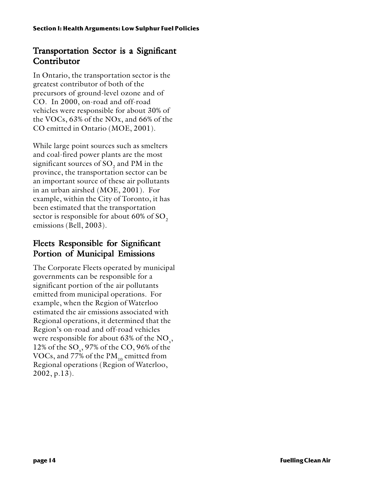## Transportation Sector is a Significant **Contributor**

In Ontario, the transportation sector is the greatest contributor of both of the precursors of ground-level ozone and of CO. In 2000, on-road and off-road vehicles were responsible for about 30% of the VOCs, 63% of the NOx, and 66% of the CO emitted in Ontario (MOE, 2001).

While large point sources such as smelters and coal-fired power plants are the most significant sources of  $SO<sub>2</sub>$  and PM in the province, the transportation sector can be an important source of these air pollutants in an urban airshed (MOE, 2001). For example, within the City of Toronto, it has been estimated that the transportation sector is responsible for about 60% of  $SO<sub>2</sub>$ emissions (Bell, 2003).

## Fleets Responsible for Significant Portion of Municipal Emissions

The Corporate Fleets operated by municipal governments can be responsible for a significant portion of the air pollutants emitted from municipal operations. For example, when the Region of Waterloo estimated the air emissions associated with Regional operations, it determined that the Region's on-road and off-road vehicles were responsible for about 63% of the  $\mathrm{NO}_{_\mathrm{x}}\mathrm{,}$ 12% of the SO<sub>x</sub>, 97% of the CO, 96% of the VOCs, and 77% of the  $PM_{10}$  emitted from Regional operations (Region of Waterloo, 2002, p.13).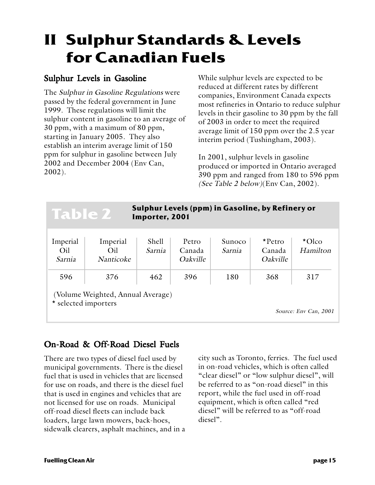## **II Sulphur Standards & Levels for Canadian Fuels**

## Sulphur Levels in Gasoline

The Sulphur in Gasoline Regulations were passed by the federal government in June 1999. These regulations will limit the sulphur content in gasoline to an average of 30 ppm, with a maximum of 80 ppm, starting in January 2005. They also establish an interim average limit of 150 ppm for sulphur in gasoline between July 2002 and December 2004 (Env Can, 2002).

While sulphur levels are expected to be reduced at different rates by different companies, Environment Canada expects most refineries in Ontario to reduce sulphur levels in their gasoline to 30 ppm by the fall of 2003 in order to meet the required average limit of 150 ppm over the 2.5 year interim period (Tushingham, 2003).

In 2001, sulphur levels in gasoline produced or imported in Ontario averaged 390 ppm and ranged from 180 to 596 ppm (See Table 2 below)(Env Can, 2002).

| Sulphur Levels (ppm) in Gasoline, by Refinery or<br><b>Table 2</b><br>Importer, 2001 |                                     |                 |                                    |                         |                              |                    |  |  |  |
|--------------------------------------------------------------------------------------|-------------------------------------|-----------------|------------------------------------|-------------------------|------------------------------|--------------------|--|--|--|
| Imperial<br>Oil<br>Sarnia                                                            | Imperial<br>Oil<br><i>Nanticoke</i> | Shell<br>Sarnia | Petro<br>Canada<br><i>Oakville</i> | <b>Sunoco</b><br>Sarnia | *Petro<br>Canada<br>Oakville | $*OCO$<br>Hamilton |  |  |  |
| 596                                                                                  | 376                                 | 462             | 396                                | 180                     | 368                          | 317                |  |  |  |
| (Volume Weighted, Annual Average)<br>* selected importers<br>Source: Env Can, 2001   |                                     |                 |                                    |                         |                              |                    |  |  |  |

## On-Road & Off-Road Diesel Fuels

There are two types of diesel fuel used by municipal governments. There is the diesel fuel that is used in vehicles that are licensed for use on roads, and there is the diesel fuel that is used in engines and vehicles that are not licensed for use on roads. Municipal off-road diesel fleets can include back loaders, large lawn mowers, back-hoes, sidewalk clearers, asphalt machines, and in a city such as Toronto, ferries. The fuel used in on-road vehicles, which is often called "clear diesel" or "low sulphur diesel", will be referred to as "on-road diesel" in this report, while the fuel used in off-road equipment, which is often called "red diesel" will be referred to as "off-road diesel".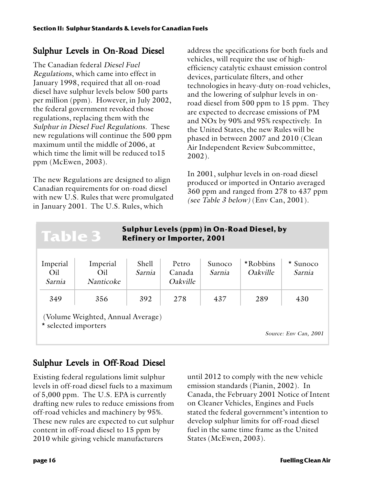## Sulphur Levels in On-Road Diesel

The Canadian federal Diesel Fuel Regulations, which came into effect in January 1998, required that all on-road diesel have sulphur levels below 500 parts per million (ppm). However, in July 2002, the federal government revoked those regulations, replacing them with the Sulphur in Diesel Fuel Regulations. These new regulations will continue the 500 ppm maximum until the middle of 2006, at which time the limit will be reduced to 15 ppm (McEwen, 2003).

The new Regulations are designed to align Canadian requirements for on-road diesel with new U.S. Rules that were promulgated in January 2001. The U.S. Rules, which

address the specifications for both fuels and vehicles, will require the use of highefficiency catalytic exhaust emission control devices, particulate filters, and other technologies in heavy-duty on-road vehicles, and the lowering of sulphur levels in onroad diesel from 500 ppm to 15 ppm. They are expected to decrease emissions of PM and NOx by 90% and 95% respectively. In the United States, the new Rules will be phased in between 2007 and 2010 (Clean Air Independent Review Subcommittee, 2002).

In 2001, sulphur levels in on-road diesel produced or imported in Ontario averaged 360 ppm and ranged from 278 to 437 ppm (see Table 3 below) (Env Can, 2001).

| Sulphur Levels (ppm) in On-Road Diesel, by<br>Table 3<br><b>Refinery or Importer, 2001</b> |                              |                 |                             |                  |                      |                    |  |  |
|--------------------------------------------------------------------------------------------|------------------------------|-----------------|-----------------------------|------------------|----------------------|--------------------|--|--|
| Imperial<br>Oil<br>Sarnia                                                                  | Imperial<br>Oil<br>Nanticoke | Shell<br>Sarnia | Petro<br>Canada<br>Oakville | Sunoco<br>Sarnia | *Robbins<br>Oakville | * Sunoco<br>Sarnia |  |  |
| 349                                                                                        | 356                          | 392             | 278                         | 437              | 289                  | 430                |  |  |
| (Volume Weighted, Annual Average)<br>* selected importers<br>Source: Env Can, 2001         |                              |                 |                             |                  |                      |                    |  |  |

## Sulphur Levels in Off-Road Diesel

Existing federal regulations limit sulphur levels in off-road diesel fuels to a maximum of 5,000 ppm. The U.S. EPA is currently drafting new rules to reduce emissions from off-road vehicles and machinery by 95%. These new rules are expected to cut sulphur content in off-road diesel to 15 ppm by 2010 while giving vehicle manufacturers

until 2012 to comply with the new vehicle emission standards (Pianin, 2002). In Canada, the February 2001 Notice of Intent on Cleaner Vehicles, Engines and Fuels stated the federal government's intention to develop sulphur limits for off-road diesel fuel in the same time frame as the United States (McEwen, 2003).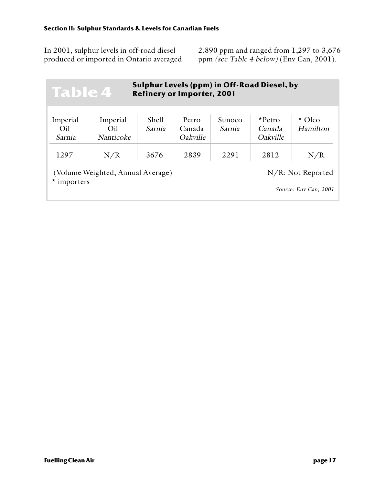In 2001, sulphur levels in off-road diesel produced or imported in Ontario averaged

2,890 ppm and ranged from 1,297 to 3,676 ppm (see Table 4 below) (Env Can, 2001).

| Sulphur Levels (ppm) in Off-Road Diesel, by<br>Table 4<br><b>Refinery or Importer, 2001</b>     |                              |                 |                             |                  |                              |                    |  |  |
|-------------------------------------------------------------------------------------------------|------------------------------|-----------------|-----------------------------|------------------|------------------------------|--------------------|--|--|
| Imperial<br>Oil<br>Sarnia                                                                       | Imperial<br>Oil<br>Nanticoke | Shell<br>Sarnia | Petro<br>Canada<br>Oakville | Sunoco<br>Sarnia | *Petro<br>Canada<br>Oakville | * Olco<br>Hamilton |  |  |
| 1297                                                                                            | N/R                          | 3676            | 2839                        | 2291             | 2812                         | N/R                |  |  |
| (Volume Weighted, Annual Average)<br>$N/R$ : Not Reported<br>importers<br>Source: Env Can, 2001 |                              |                 |                             |                  |                              |                    |  |  |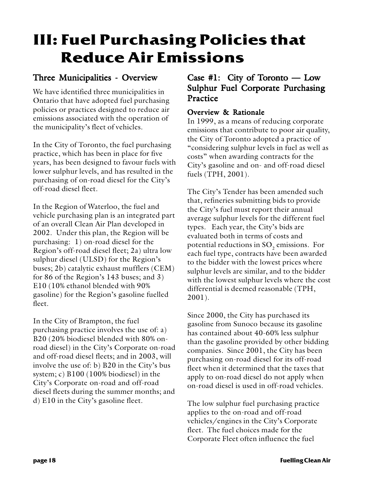## **III: Fuel Purchasing Policies that Reduce Air Emissions**

## Three Municipalities - Overview

We have identified three municipalities in Ontario that have adopted fuel purchasing policies or practices designed to reduce air emissions associated with the operation of the municipality's fleet of vehicles.

In the City of Toronto, the fuel purchasing practice, which has been in place for five years, has been designed to favour fuels with lower sulphur levels, and has resulted in the purchasing of on-road diesel for the City's off-road diesel fleet.

In the Region of Waterloo, the fuel and vehicle purchasing plan is an integrated part of an overall Clean Air Plan developed in 2002. Under this plan, the Region will be purchasing: 1) on-road diesel for the Region's off-road diesel fleet; 2a) ultra low sulphur diesel (ULSD) for the Region's buses; 2b) catalytic exhaust mufflers (CEM) for 86 of the Region's 143 buses; and 3) E10 (10% ethanol blended with 90% gasoline) for the Region's gasoline fuelled fleet.

In the City of Brampton, the fuel purchasing practice involves the use of: a) B20 (20% biodiesel blended with 80% onroad diesel) in the City's Corporate on-road and off-road diesel fleets; and in 2003, will involve the use of: b) B20 in the City's bus system; c) B100 (100% biodiesel) in the City's Corporate on-road and off-road diesel fleets during the summer months; and d) E10 in the City's gasoline fleet.

## Case #1: City of Toronto — Low Sulphur Fuel Corporate Purchasing Practice

#### Overview & Rationale

In 1999, as a means of reducing corporate emissions that contribute to poor air quality, the City of Toronto adopted a practice of "considering sulphur levels in fuel as well as costs" when awarding contracts for the City's gasoline and on- and off-road diesel fuels (TPH, 2001).

The City's Tender has been amended such that, refineries submitting bids to provide the City's fuel must report their annual average sulphur levels for the different fuel types. Each year, the City's bids are evaluated both in terms of costs and potential reductions in  $SO<sub>2</sub>$  emissions. For each fuel type, contracts have been awarded to the bidder with the lowest prices where sulphur levels are similar, and to the bidder with the lowest sulphur levels where the cost differential is deemed reasonable (TPH, 2001).

Since 2000, the City has purchased its gasoline from Sunoco because its gasoline has contained about 40-60% less sulphur than the gasoline provided by other bidding companies. Since 2001, the City has been purchasing on-road diesel for its off-road fleet when it determined that the taxes that apply to on-road diesel do not apply when on-road diesel is used in off-road vehicles.

The low sulphur fuel purchasing practice applies to the on-road and off-road vehicles/engines in the City's Corporate fleet. The fuel choices made for the Corporate Fleet often influence the fuel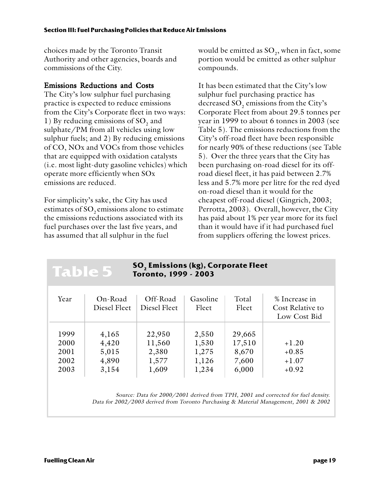#### **Section III: Fuel Purchasing Policies that Reduce Air Emissions**

choices made by the Toronto Transit Authority and other agencies, boards and commissions of the City.

#### Emissions Reductions and Costs

The City's low sulphur fuel purchasing practice is expected to reduce emissions from the City's Corporate fleet in two ways: 1) By reducing emissions of SO<sub>2</sub> and sulphate/PM from all vehicles using low sulphur fuels; and 2) By reducing emissions of CO, NOx and VOCs from those vehicles that are equipped with oxidation catalysts (i.e. most light-duty gasoline vehicles) which operate more efficiently when SOx emissions are reduced.

For simplicity's sake, the City has used estimates of SO<sub>2</sub> emissions alone to estimate the emissions reductions associated with its fuel purchases over the last five years, and has assumed that all sulphur in the fuel

**Table 5**

would be emitted as  $SO_2$ , when in fact, some portion would be emitted as other sulphur compounds.

It has been estimated that the City's low sulphur fuel purchasing practice has decreased SO<sub>2</sub> emissions from the City's Corporate Fleet from about 29.5 tonnes per year in 1999 to about 6 tonnes in 2003 (see Table 5). The emissions reductions from the City's off-road fleet have been responsible for nearly 90% of these reductions (see Table 5). Over the three years that the City has been purchasing on-road diesel for its offroad diesel fleet, it has paid between 2.7% less and 5.7% more per litre for the red dyed on-road diesel than it would for the cheapest off-road diesel (Gingrich, 2003; Perrotta, 2003). Overall, however, the City has paid about 1% per year more for its fuel than it would have if it had purchased fuel from suppliers offering the lowest prices.

#### **SO<sub>2</sub> Emissions (kg), Corporate Fleet Toronto, 1999 - 2003**

| Year                                 | On-Road<br>Diesel Fleet                   | Off-Road<br>Diesel Fleet                    | Gasoline<br>Fleet                         | Total<br>Fleet                              | % Increase in<br>Cost Relative to<br>Low Cost Bid |
|--------------------------------------|-------------------------------------------|---------------------------------------------|-------------------------------------------|---------------------------------------------|---------------------------------------------------|
| 1999<br>2000<br>2001<br>2002<br>2003 | 4,165<br>4,420<br>5,015<br>4,890<br>3,154 | 22,950<br>11,560<br>2,380<br>1,577<br>1,609 | 2,550<br>1,530<br>1,275<br>1,126<br>1,234 | 29,665<br>17,510<br>8,670<br>7,600<br>6,000 | $+1.20$<br>$+0.85$<br>$+1.07$<br>$+0.92$          |

Source: Data for 2000/2001 derived from TPH, 2001 and corrected for fuel density. Data for 2002/2003 derived from Toronto Purchasing & Material Management, 2001 & 2002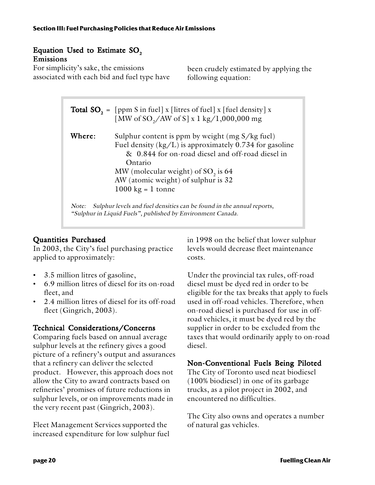#### Equation Used to Estimate  $SO<sub>2</sub>$ Emissions Emissions

For simplicity's sake, the emissions associated with each bid and fuel type have been crudely estimated by applying the following equation:

|                                                                                                                                               | <b>Total SO<sub>2</sub></b> = [ppm S in fuel] x [litres of fuel] x [fuel density] x<br>[MW of SO <sub>2</sub> /AW of S] x 1 kg/1,000,000 mg                                                                                                                                                          |  |  |  |  |  |  |
|-----------------------------------------------------------------------------------------------------------------------------------------------|------------------------------------------------------------------------------------------------------------------------------------------------------------------------------------------------------------------------------------------------------------------------------------------------------|--|--|--|--|--|--|
| Where:                                                                                                                                        | Sulphur content is ppm by weight $(mg S/kg$ fuel)<br>Fuel density $(kg/L)$ is approximately 0.734 for gasoline<br>& 0.844 for on-road diesel and off-road diesel in<br>Ontario<br>MW (molecular weight) of $SO2$ is 64<br>AW (atomic weight) of sulphur is 32<br>$1000 \text{ kg} = 1 \text{ tonne}$ |  |  |  |  |  |  |
| Sulphur levels and fuel densities can be found in the annual reports,<br>Note:<br>"Sulphur in Liquid Fuels", published by Environment Canada. |                                                                                                                                                                                                                                                                                                      |  |  |  |  |  |  |

### Quantities Purchased

In 2003, the City's fuel purchasing practice applied to approximately:

- 3.5 million litres of gasoline,
- 6.9 million litres of diesel for its on-road fleet, and
- 2.4 million litres of diesel for its off-road fleet (Gingrich, 2003).

#### Technical Considerations/Concerns

Comparing fuels based on annual average sulphur levels at the refinery gives a good picture of a refinery's output and assurances that a refinery can deliver the selected product. However, this approach does not allow the City to award contracts based on refineries' promises of future reductions in sulphur levels, or on improvements made in the very recent past (Gingrich, 2003).

Fleet Management Services supported the increased expenditure for low sulphur fuel in 1998 on the belief that lower sulphur levels would decrease fleet maintenance costs.

Under the provincial tax rules, off-road diesel must be dyed red in order to be eligible for the tax breaks that apply to fuels used in off-road vehicles. Therefore, when on-road diesel is purchased for use in offroad vehicles, it must be dyed red by the supplier in order to be excluded from the taxes that would ordinarily apply to on-road diesel.

#### Non-Conventional Fuels Being Piloted

The City of Toronto used neat biodiesel (100% biodiesel) in one of its garbage trucks, as a pilot project in 2002, and encountered no difficulties.

The City also owns and operates a number of natural gas vehicles.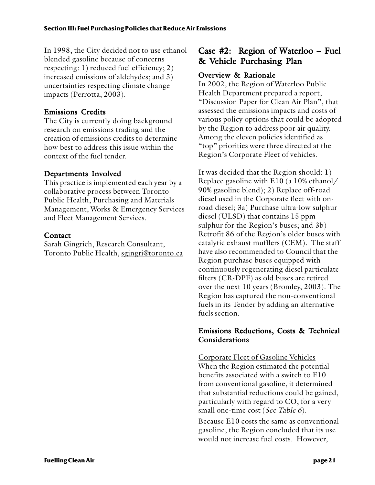In 1998, the City decided not to use ethanol blended gasoline because of concerns respecting: 1) reduced fuel efficiency; 2) increased emissions of aldehydes; and 3) uncertainties respecting climate change impacts (Perrotta, 2003).

#### **Emissions Credits**

The City is currently doing background research on emissions trading and the creation of emissions credits to determine how best to address this issue within the context of the fuel tender.

#### Departments Involved

This practice is implemented each year by a collaborative process between Toronto Public Health, Purchasing and Materials Management, Works & Emergency Services and Fleet Management Services.

#### **Contact**

Sarah Gingrich, Research Consultant, Toronto Public Health, sgingri@toronto.ca

### Case  $#2$ : Region of Waterloo – Fuel & Vehicle Purchasing Plan

#### Over view & Rationale

In 2002, the Region of Waterloo Public Health Department prepared a report, "Discussion Paper for Clean Air Plan", that assessed the emissions impacts and costs of various policy options that could be adopted by the Region to address poor air quality. Among the eleven policies identified as "top" priorities were three directed at the Region's Corporate Fleet of vehicles.

It was decided that the Region should: 1) Replace gasoline with E10 (a 10% ethanol/ 90% gasoline blend); 2) Replace off-road diesel used in the Corporate fleet with onroad diesel; 3a) Purchase ultra-low sulphur diesel (ULSD) that contains 15 ppm sulphur for the Region's buses; and 3b) Retrofit 86 of the Region's older buses with catalytic exhaust mufflers (CEM). The staff have also recommended to Council that the Region purchase buses equipped with continuously regenerating diesel particulate filters (CR-DPF) as old buses are retired over the next 10 years (Bromley, 2003). The Region has captured the non-conventional fuels in its Tender by adding an alternative fuels section.

#### Emissions Reductions, Costs & Technical **Considerations**

Corporate Fleet of Gasoline Vehicles When the Region estimated the potential benefits associated with a switch to E10 from conventional gasoline, it determined that substantial reductions could be gained, particularly with regard to CO, for a very small one-time cost (See Table 6).

Because E10 costs the same as conventional gasoline, the Region concluded that its use would not increase fuel costs. However,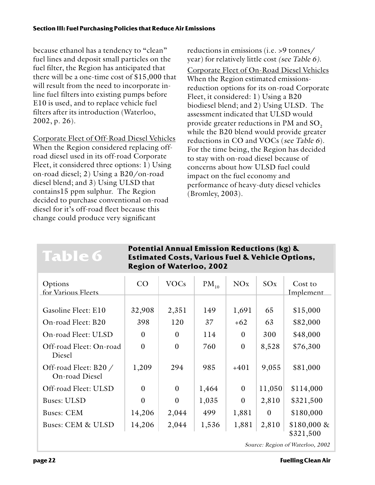#### **Section III: Fuel Purchasing Policies that Reduce Air Emissions**

because ethanol has a tendency to "clean" fuel lines and deposit small particles on the fuel filter, the Region has anticipated that there will be a one-time cost of \$15,000 that will result from the need to incorporate inline fuel filters into existing pumps before E10 is used, and to replace vehicle fuel filters after its introduction (Waterloo, 2002, p. 26).

Corporate Fleet of Off-Road Diesel Vehicles When the Region considered replacing offroad diesel used in its off-road Corporate Fleet, it considered three options: 1) Using on-road diesel; 2) Using a B20/on-road diesel blend; and 3) Using ULSD that contains15 ppm sulphur. The Region decided to purchase conventional on-road diesel for it's off-road fleet because this change could produce very significant

reductions in emissions (i.e. >9 tonnes/ year) for relatively little cost (see Table 6).

Corporate Fleet of On-Road Diesel Vehicles When the Region estimated emissionsreduction options for its on-road Corporate Fleet, it considered: 1) Using a B20 biodiesel blend; and 2) Using ULSD. The assessment indicated that ULSD would provide greater reductions in PM and  $SO<sub>2</sub>$ while the B20 blend would provide greater reductions in CO and VOCs (see Table 6). For the time being, the Region has decided to stay with on-road diesel because of concerns about how ULSD fuel could impact on the fuel economy and performance of heavy-duty diesel vehicles (Bromley, 2003).

## **Table 6**

**Potential Annual Emission Reductions (kg) & Estimated Costs, Various Fuel & Vehicle Options, Region of Waterloo, 2002**

| Options<br>for Various Fleets           | CO               | <b>VOCs</b>    | $PM_{10}$ | NOx          | SOx      | Cost to<br>Implement     |
|-----------------------------------------|------------------|----------------|-----------|--------------|----------|--------------------------|
| Gasoline Fleet: E10                     | 32,908           | 2,351          | 149       | 1,691        | 65       | \$15,000                 |
| On-road Fleet: B20                      | 398              | 120            | 37        | $+62$        | 63       | \$82,000                 |
| On-road Fleet: ULSD                     | $\boldsymbol{0}$ | $\overline{0}$ | 114       | $\mathbf{0}$ | 300      | \$48,000                 |
| Off-road Fleet: On-road<br>Diesel       | $\boldsymbol{0}$ | $\theta$       | 760       | $\mathbf{0}$ | 8,528    | \$76,300                 |
| Off-road Fleet: B20 /<br>On-road Diesel | 1,209            | 294            | 985       | $+401$       | 9,055    | \$81,000                 |
| Off-road Fleet: ULSD                    | $\boldsymbol{0}$ | $\mathbf{0}$   | 1,464     | $\mathbf{0}$ | 11,050   | \$114,000                |
| <b>Buses: ULSD</b>                      | $\overline{0}$   | $\theta$       | 1,035     | $\mathbf{0}$ | 2,810    | \$321,500                |
| <b>Buses: CEM</b>                       | 14,206           | 2,044          | 499       | 1,881        | $\theta$ | \$180,000                |
| <b>Buses: CEM &amp; ULSD</b>            | 14,206           | 2,044          | 1,536     | 1,881        | 2,810    | \$180,000 &<br>\$321,500 |

Source: Region of Waterloo, 2002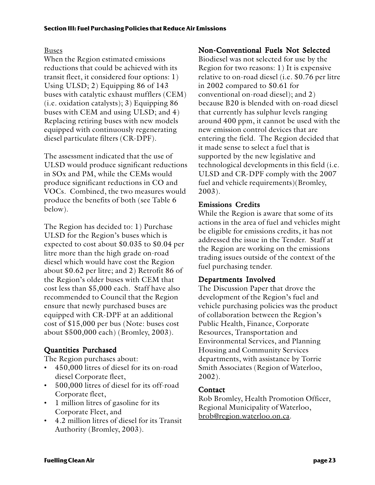#### Buses

When the Region estimated emissions reductions that could be achieved with its transit fleet, it considered four options: 1) Using ULSD; 2) Equipping 86 of 143 buses with catalytic exhaust mufflers (CEM) (i.e. oxidation catalysts); 3) Equipping 86 buses with CEM and using ULSD; and 4) Replacing retiring buses with new models equipped with continuously regenerating diesel particulate filters (CR-DPF).

The assessment indicated that the use of ULSD would produce significant reductions in SOx and PM, while the CEMs would produce significant reductions in CO and VOCs. Combined, the two measures would produce the benefits of both (see Table 6 below).

The Region has decided to: 1) Purchase ULSD for the Region's buses which is expected to cost about \$0.035 to \$0.04 per litre more than the high grade on-road diesel which would have cost the Region about \$0.62 per litre; and 2) Retrofit 86 of the Region's older buses with CEM that cost less than \$5,000 each. Staff have also recommended to Council that the Region ensure that newly purchased buses are equipped with CR-DPF at an additional cost of \$15,000 per bus (Note: buses cost about \$500,000 each) (Bromley, 2003).

## Quantities Purchased

The Region purchases about:

- 450,000 litres of diesel for its on-road diesel Corporate fleet,
- 500,000 litres of diesel for its off-road Corporate fleet,
- 1 million litres of gasoline for its Corporate Fleet, and
- 4.2 million litres of diesel for its Transit Authority (Bromley, 2003).

#### Non-Conventional Fuels Not Selected

Biodiesel was not selected for use by the Region for two reasons: 1) It is expensive relative to on-road diesel (i.e. \$0.76 per litre in 2002 compared to \$0.61 for conventional on-road diesel); and 2) because B20 is blended with on-road diesel that currently has sulphur levels ranging around 400 ppm, it cannot be used with the new emission control devices that are entering the field. The Region decided that it made sense to select a fuel that is supported by the new legislative and technological developments in this field (i.e. ULSD and CR-DPF comply with the 2007 fuel and vehicle requirements)(Bromley, 2003).

#### **Emissions Credits**

While the Region is aware that some of its actions in the area of fuel and vehicles might be eligible for emissions credits, it has not addressed the issue in the Tender. Staff at the Region are working on the emissions trading issues outside of the context of the fuel purchasing tender.

#### Departments Involved

The Discussion Paper that drove the development of the Region's fuel and vehicle purchasing policies was the product of collaboration between the Region's Public Health, Finance, Corporate Resources, Transportation and Environmental Services, and Planning Housing and Community Services departments, with assistance by Torrie Smith Associates (Region of Waterloo, 2002).

#### Contact

Rob Bromley, Health Promotion Officer, Regional Municipality of Waterloo, brob@region.waterloo.on.ca.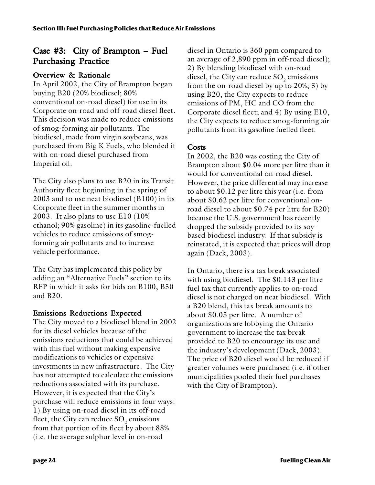## Case  $#3$ : City of Brampton – Fuel Purchasing Practice

#### Overview & Rationale

In April 2002, the City of Brampton began buying B20 (20% biodiesel; 80% conventional on-road diesel) for use in its Corporate on-road and off-road diesel fleet. This decision was made to reduce emissions of smog-forming air pollutants. The biodiesel, made from virgin soybeans, was purchased from Big K Fuels, who blended it with on-road diesel purchased from Imperial oil.

The City also plans to use B20 in its Transit Authority fleet beginning in the spring of 2003 and to use neat biodiesel (B100) in its Corporate fleet in the summer months in 2003. It also plans to use E10 (10% ethanol; 90% gasoline) in its gasoline-fuelled vehicles to reduce emissions of smogforming air pollutants and to increase vehicle performance.

The City has implemented this policy by adding an "Alternative Fuels" section to its RFP in which it asks for bids on B100, B50 and B20.

#### Emissions Reductions Expected

The City moved to a biodiesel blend in 2002 for its diesel vehicles because of the emissions reductions that could be achieved with this fuel without making expensive modifications to vehicles or expensive investments in new infrastructure. The City has not attempted to calculate the emissions reductions associated with its purchase. However, it is expected that the City's purchase will reduce emissions in four ways: 1) By using on-road diesel in its off-road fleet, the City can reduce  $SO<sub>2</sub>$  emissions from that portion of its fleet by about 88% (i.e. the average sulphur level in on-road

diesel in Ontario is 360 ppm compared to an average of 2,890 ppm in off-road diesel); 2) By blending biodiesel with on-road diesel, the City can reduce  $SO<sub>2</sub>$  emissions from the on-road diesel by up to 20%; 3) by using B20, the City expects to reduce emissions of PM, HC and CO from the Corporate diesel fleet; and 4) By using E10, the City expects to reduce smog-forming air pollutants from its gasoline fuelled fleet.

#### Costs

In 2002, the B20 was costing the City of Brampton about \$0.04 more per litre than it would for conventional on-road diesel. However, the price differential may increase to about \$0.12 per litre this year (i.e. from about \$0.62 per litre for conventional onroad diesel to about \$0.74 per litre for B20) because the U.S. government has recently dropped the subsidy provided to its soybased biodiesel industry. If that subsidy is reinstated, it is expected that prices will drop again (Dack, 2003).

In Ontario, there is a tax break associated with using biodiesel. The \$0.143 per litre fuel tax that currently applies to on-road diesel is not charged on neat biodiesel. With a B20 blend, this tax break amounts to about \$0.03 per litre. A number of organizations are lobbying the Ontario government to increase the tax break provided to B20 to encourage its use and the industry's development (Dack, 2003). The price of B20 diesel would be reduced if greater volumes were purchased (i.e. if other municipalities pooled their fuel purchases with the City of Brampton).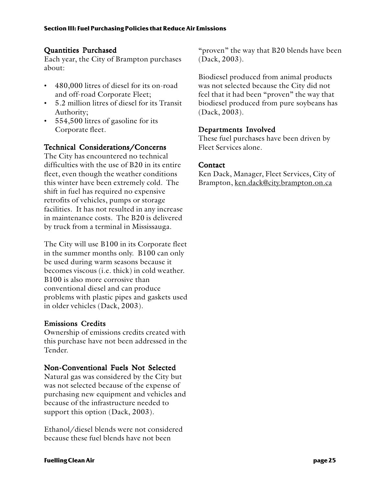#### Quantities Purchased

Each year, the City of Brampton purchases about:

- 480,000 litres of diesel for its on-road and off-road Corporate Fleet;
- 5.2 million litres of diesel for its Transit Authority;
- 554,500 litres of gasoline for its Corporate fleet.

#### Technical Considerations/Concerns

The City has encountered no technical difficulties with the use of B20 in its entire fleet, even though the weather conditions this winter have been extremely cold. The shift in fuel has required no expensive retrofits of vehicles, pumps or storage facilities. It has not resulted in any increase in maintenance costs. The B20 is delivered by truck from a terminal in Mississauga.

The City will use B100 in its Corporate fleet in the summer months only. B100 can only be used during warm seasons because it becomes viscous (i.e. thick) in cold weather. B100 is also more corrosive than conventional diesel and can produce problems with plastic pipes and gaskets used in older vehicles (Dack, 2003).

#### **Emissions Credits**

Ownership of emissions credits created with this purchase have not been addressed in the Tender.

#### Non-Conventional Fuels Not Selected

Natural gas was considered by the City but was not selected because of the expense of purchasing new equipment and vehicles and because of the infrastructure needed to support this option (Dack, 2003).

Ethanol/diesel blends were not considered because these fuel blends have not been

"proven" the way that B20 blends have been (Dack, 2003).

Biodiesel produced from animal products was not selected because the City did not feel that it had been "proven" the way that biodiesel produced from pure soybeans has (Dack, 2003).

#### Departments Involved

These fuel purchases have been driven by Fleet Services alone.

#### Contact

Ken Dack, Manager, Fleet Services, City of Brampton, ken.dack@city.brampton.on.ca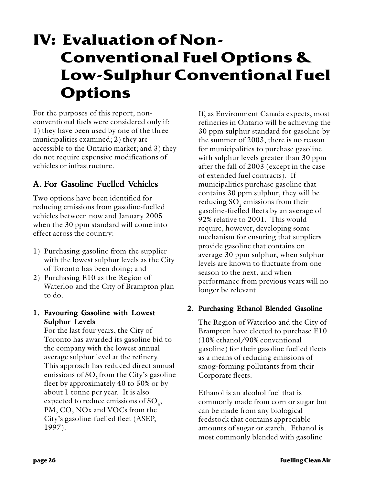## **IV: Evaluation of Non-Conventional Fuel Options & Low-Sulphur Conventional Fuel Options**

For the purposes of this report, nonconventional fuels were considered only if: 1) they have been used by one of the three municipalities examined; 2) they are accessible to the Ontario market; and 3) they do not require expensive modifications of vehicles or infrastructure.

## A. For Gasoline Fuelled Vehicles

Two options have been identified for reducing emissions from gasoline-fuelled vehicles between now and January 2005 when the 30 ppm standard will come into effect across the country:

- 1) Purchasing gasoline from the supplier with the lowest sulphur levels as the City of Toronto has been doing; and
- 2) Purchasing E10 as the Region of Waterloo and the City of Brampton plan to do.

#### 1. Favouring Gasoline with Lowest Sulphur Levels

For the last four years, the City of Toronto has awarded its gasoline bid to the company with the lowest annual average sulphur level at the refinery. This approach has reduced direct annual emissions of  $SO<sub>2</sub>$  from the City's gasoline fleet by approximately 40 to 50% or by about 1 tonne per year. It is also expected to reduce emissions of  $SO_4$ , PM, CO, NOx and VOCs from the City's gasoline-fuelled fleet (ASEP, 1997).

If, as Environment Canada expects, most refineries in Ontario will be achieving the 30 ppm sulphur standard for gasoline by the summer of 2003, there is no reason for municipalities to purchase gasoline with sulphur levels greater than 30 ppm after the fall of 2003 (except in the case of extended fuel contracts). If municipalities purchase gasoline that contains 30 ppm sulphur, they will be reducing SO<sub>2</sub> emissions from their gasoline-fuelled fleets by an average of 92% relative to 2001. This would require, however, developing some mechanism for ensuring that suppliers provide gasoline that contains on average 30 ppm sulphur, when sulphur levels are known to fluctuate from one season to the next, and when performance from previous years will no longer be relevant.

#### 2. Purchasing Ethanol Blended Gasoline

The Region of Waterloo and the City of Brampton have elected to purchase E10 (10% ethanol/90% conventional gasoline) for their gasoline fuelled fleets as a means of reducing emissions of smog-forming pollutants from their Corporate fleets.

Ethanol is an alcohol fuel that is commonly made from corn or sugar but can be made from any biological feedstock that contains appreciable amounts of sugar or starch. Ethanol is most commonly blended with gasoline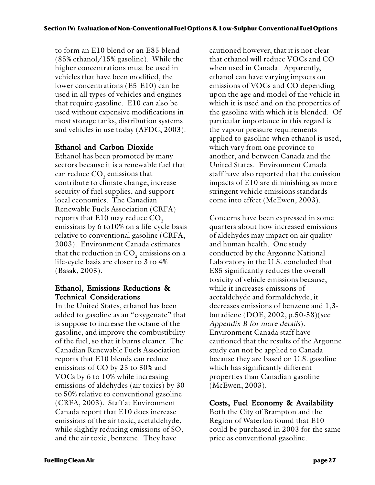to form an E10 blend or an E85 blend  $(85\%$  ethanol/15% gasoline). While the higher concentrations must be used in vehicles that have been modified, the lower concentrations (E5-E10) can be used in all types of vehicles and engines that require gasoline. E10 can also be used without expensive modifications in most storage tanks, distribution systems and vehicles in use today (AFDC, 2003).

#### Ethanol and Carbon Dioxide

Ethanol has been promoted by many sectors because it is a renewable fuel that can reduce  $CO<sub>z</sub>$  emissions that contribute to climate change, increase security of fuel supplies, and support local economies. The Canadian Renewable Fuels Association (CRFA) reports that E10 may reduce  $\mathrm{CO}_2$ emissions by 6 to10% on a life-cycle basis relative to conventional gasoline (CRFA, 2003). Environment Canada estimates that the reduction in  $\mathrm{CO}_2$  emissions on a life-cycle basis are closer to 3 to 4% (Basak, 2003).

#### Ethanol, Emissions Reductions & **Technical Considerations**

In the United States, ethanol has been added to gasoline as an "oxygenate" that is suppose to increase the octane of the gasoline, and improve the combustibility of the fuel, so that it burns cleaner. The Canadian Renewable Fuels Association reports that E10 blends can reduce emissions of CO by 25 to 30% and VOCs by 6 to 10% while increasing emissions of aldehydes (air toxics) by 30 to 50% relative to conventional gasoline (CRFA, 2003). Staff at Environment Canada report that E10 does increase emissions of the air toxic, acetaldehyde, while slightly reducing emissions of SO<sub>2</sub> and the air toxic, benzene. They have

cautioned however, that it is not clear that ethanol will reduce VOCs and CO when used in Canada. Apparently, ethanol can have varying impacts on emissions of VOCs and CO depending upon the age and model of the vehicle in which it is used and on the properties of the gasoline with which it is blended. Of particular importance in this regard is the vapour pressure requirements applied to gasoline when ethanol is used, which vary from one province to another, and between Canada and the United States. Environment Canada staff have also reported that the emission impacts of E10 are diminishing as more stringent vehicle emissions standards come into effect (McEwen, 2003).

Concerns have been expressed in some quarters about how increased emissions of aldehydes may impact on air quality and human health. One study conducted by the Argonne National Laboratory in the U.S. concluded that E85 significantly reduces the overall toxicity of vehicle emissions because, while it increases emissions of acetaldehyde and formaldehyde, it decreases emissions of benzene and 1,3 butadiene (DOE, 2002, p.50-58)(see Appendix B for more details). Environment Canada staff have cautioned that the results of the Argonne study can not be applied to Canada because they are based on U.S. gasoline which has significantly different properties than Canadian gasoline (McEwen, 2003).

#### Costs, Fuel Economy & Availability

Both the City of Brampton and the Region of Waterloo found that E10 could be purchased in 2003 for the same price as conventional gasoline.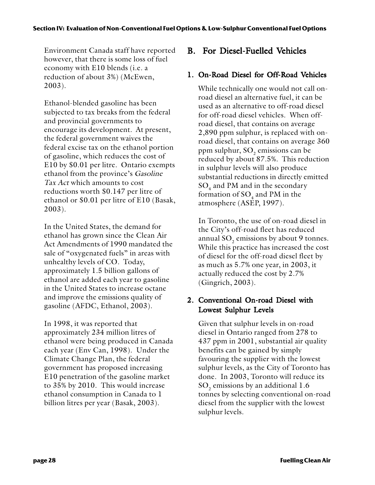Environment Canada staff have reported however, that there is some loss of fuel economy with E10 blends (i.e. a reduction of about 3%) (McEwen, 2003).

Ethanol-blended gasoline has been subjected to tax breaks from the federal and provincial governments to encourage its development. At present, the federal government waives the federal excise tax on the ethanol portion of gasoline, which reduces the cost of E10 by \$0.01 per litre. Ontario exempts ethanol from the province's Gasoline Tax Act which amounts to cost reductions worth \$0.147 per litre of ethanol or \$0.01 per litre of E10 (Basak, 2003).

In the United States, the demand for ethanol has grown since the Clean Air Act Amendments of 1990 mandated the sale of "oxygenated fuels" in areas with unhealthy levels of CO. Today, approximately 1.5 billion gallons of ethanol are added each year to gasoline in the United States to increase octane and improve the emissions quality of gasoline (AFDC, Ethanol, 2003).

In 1998, it was reported that approximately 234 million litres of ethanol were being produced in Canada each year (Env Can, 1998). Under the Climate Change Plan, the federal government has proposed increasing E10 penetration of the gasoline market to 35% by 2010. This would increase ethanol consumption in Canada to 1 billion litres per year (Basak, 2003).

## B. For Diesel-Fuelled Vehicles

#### 1. On-Road Diesel for Off-Road Vehicles

While technically one would not call onroad diesel an alternative fuel, it can be used as an alternative to off-road diesel for off-road diesel vehicles. When offroad diesel, that contains on average 2,890 ppm sulphur, is replaced with onroad diesel, that contains on average 360  $ppm$  sulphur,  $SO<sub>2</sub>$  emissions can be reduced by about 87.5%. This reduction in sulphur levels will also produce substantial reductions in directly emitted  $SO<sub>4</sub>$  and PM and in the secondary formation of SO<sub>4</sub> and PM in the atmosphere (ASEP, 1997).

In Toronto, the use of on-road diesel in the City's off-road fleet has reduced annual SO<sub>2</sub> emissions by about 9 tonnes. While this practice has increased the cost of diesel for the off-road diesel fleet by as much as 5.7% one year, in 2003, it actually reduced the cost by 2.7% (Gingrich, 2003).

#### 2. Conventional On-road Diesel with Lowest Sulphur Levels

Given that sulphur levels in on-road diesel in Ontario ranged from 278 to 437 ppm in 2001, substantial air quality benefits can be gained by simply favouring the supplier with the lowest sulphur levels, as the City of Toronto has done. In 2003, Toronto will reduce its  $SO<sub>2</sub>$  emissions by an additional 1.6 tonnes by selecting conventional on-road diesel from the supplier with the lowest sulphur levels.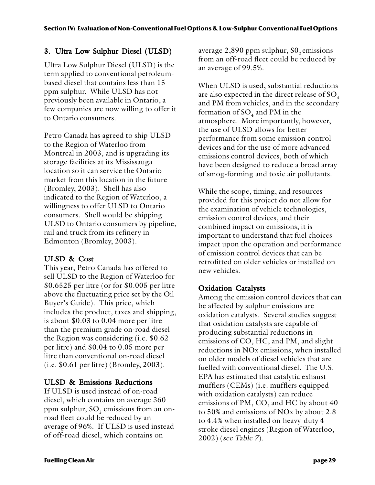#### 3. Ultra Low Sulphur Diesel (ULSD)

Ultra Low Sulphur Diesel (ULSD) is the term applied to conventional petroleumbased diesel that contains less than 15 ppm sulphur. While ULSD has not previously been available in Ontario, a few companies are now willing to offer it to Ontario consumers.

Petro Canada has agreed to ship ULSD to the Region of Waterloo from Montreal in 2003, and is upgrading its storage facilities at its Mississauga location so it can service the Ontario market from this location in the future (Bromley, 2003). Shell has also indicated to the Region of Waterloo, a willingness to offer ULSD to Ontario consumers. Shell would be shipping ULSD to Ontario consumers by pipeline, rail and truck from its refinery in Edmonton (Bromley, 2003).

#### ULSD & Cost

This year, Petro Canada has offered to sell ULSD to the Region of Waterloo for \$0.6525 per litre (or for \$0.005 per litre above the fluctuating price set by the Oil Buyer's Guide). This price, which includes the product, taxes and shipping, is about \$0.03 to 0.04 more per litre than the premium grade on-road diesel the Region was considering (i.e. \$0.62 per litre) and \$0.04 to 0.05 more per litre than conventional on-road diesel (i.e. \$0.61 per litre) (Bromley, 2003).

#### ULSD & Emissions Reductions

If ULSD is used instead of on-road diesel, which contains on average 360 ppm sulphur,  $\mathrm{SO}_2$  emissions from an onroad fleet could be reduced by an average of 96%. If ULSD is used instead of off-road diesel, which contains on

average  $2,890$  ppm sulphur,  $S_0$  emissions from an off-road fleet could be reduced by an average of 99.5%.

When ULSD is used, substantial reductions are also expected in the direct release of  $SO<sub>4</sub>$ and PM from vehicles, and in the secondary formation of  $SO_4$  and PM in the atmosphere. More importantly, however, the use of ULSD allows for better performance from some emission control devices and for the use of more advanced emissions control devices, both of which have been designed to reduce a broad array of smog-forming and toxic air pollutants.

While the scope, timing, and resources provided for this project do not allow for the examination of vehicle technologies, emission control devices, and their combined impact on emissions, it is important to understand that fuel choices impact upon the operation and performance of emission control devices that can be retrofitted on older vehicles or installed on new vehicles.

#### **Oxidation Catalysts**

Among the emission control devices that can be affected by sulphur emissions are oxidation catalysts. Several studies suggest that oxidation catalysts are capable of producing substantial reductions in emissions of CO, HC, and PM, and slight reductions in NOx emissions, when installed on older models of diesel vehicles that are fuelled with conventional diesel. The U.S. EPA has estimated that catalytic exhaust mufflers (CEMs) (i.e. mufflers equipped with oxidation catalysts) can reduce emissions of PM, CO, and HC by about 40 to 50% and emissions of NOx by about 2.8 to 4.4% when installed on heavy-duty 4 stroke diesel engines (Region of Waterloo, 2002) (see Table 7).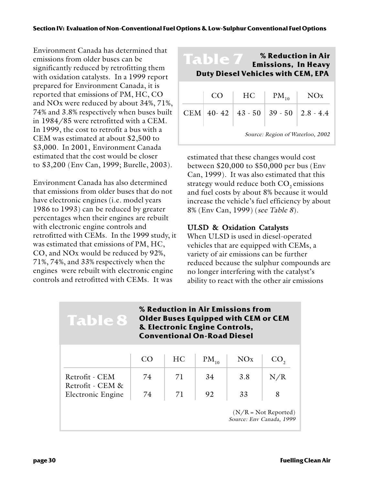Environment Canada has determined that emissions from older buses can be significantly reduced by retrofitting them with oxidation catalysts. In a 1999 report prepared for Environment Canada, it is reported that emissions of PM, HC, CO and NOx were reduced by about 34%, 71%, 74% and 3.8% respectively when buses built in 1984/85 were retrofitted with a CEM. In 1999, the cost to retrofit a bus with a CEM was estimated at about \$2,500 to \$3,000. In 2001, Environment Canada estimated that the cost would be closer to \$3,200 (Env Can, 1999; Burelle, 2003).

Environment Canada has also determined that emissions from older buses that do not have electronic engines (i.e. model years 1986 to 1993) can be reduced by greater percentages when their engines are rebuilt with electronic engine controls and retrofitted with CEMs. In the 1999 study, it was estimated that emissions of PM, HC, CO, and NOx would be reduced by 92%, 71%, 74%, and 33% respectively when the engines were rebuilt with electronic engine controls and retrofitted with CEMs. It was

| Table | % Reduction in Air                 |
|-------|------------------------------------|
|       | <b>Emissions, In Heavy</b>         |
|       | Duty Diesel Vehicles with CEM, EPA |

|                                  |  | $CO$   HC | $PM_{10}$   NOx |                                  |  |  |  |  |
|----------------------------------|--|-----------|-----------------|----------------------------------|--|--|--|--|
|                                  |  |           |                 | CEM $ 40-42 43-50 39-50 2.8-4.4$ |  |  |  |  |
| Source: Region of Waterloo, 2002 |  |           |                 |                                  |  |  |  |  |

estimated that these changes would cost between \$20,000 to \$50,000 per bus (Env Can, 1999). It was also estimated that this strategy would reduce both  $CO<sub>2</sub>$  emissions and fuel costs by about 8% because it would increase the vehicle's fuel efficiency by about 8% (Env Can, 1999) (see Table 8).

#### ULSD & Oxidation Catalysts

When ULSD is used in diesel-operated vehicles that are equipped with CEMs, a variety of air emissions can be further reduced because the sulphur compounds are no longer interfering with the catalyst's ability to react with the other air emissions

| <b>Table 8</b>                                     | % Reduction in Air Emissions from<br><b>Older Buses Equipped with CEM or CEM</b><br>& Electronic Engine Controls,<br><b>Conventional On-Road Diesel</b> |           |           |     |     |  |  |  |  |
|----------------------------------------------------|---------------------------------------------------------------------------------------------------------------------------------------------------------|-----------|-----------|-----|-----|--|--|--|--|
|                                                    | CO                                                                                                                                                      | <b>HC</b> | $PM_{10}$ | NOx | CO, |  |  |  |  |
| Retrofit - CEM<br>Retrofit - CEM &                 | 74                                                                                                                                                      | 71        | 34        | 3.8 | N/R |  |  |  |  |
| Electronic Engine                                  | 74                                                                                                                                                      | 71        | 92        | 33  | 8   |  |  |  |  |
| $(N/R = Not Reported)$<br>Source: Env Canada, 1999 |                                                                                                                                                         |           |           |     |     |  |  |  |  |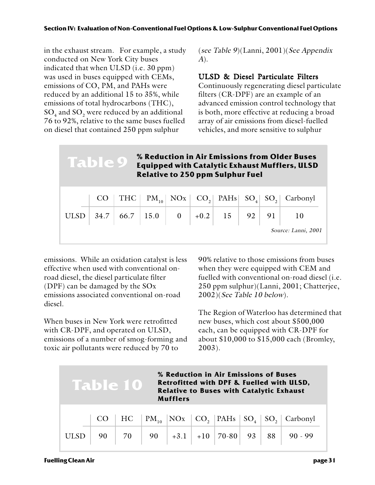in the exhaust stream. For example, a study conducted on New York City buses indicated that when ULSD (i.e. 30 ppm) was used in buses equipped with CEMs, emissions of CO, PM, and PAHs were reduced by an additional 15 to 35%, while emissions of total hydrocarbons (THC),  $SO<sub>4</sub>$  and  $SO<sub>2</sub>$  were reduced by an additional 76 to 92%, relative to the same buses fuelled on diesel that contained 250 ppm sulphur

(see Table 9)(Lanni, 2001)(See Appendix A).

#### ULSD & Diesel Particulate Filters

Continuously regenerating diesel particulate filters (CR-DPF) are an example of an advanced emission control technology that is both, more effective at reducing a broad array of air emissions from diesel-fuelled vehicles, and more sensitive to sulphur

| % Reduction in Air Emissions from Older Buses<br>Table 9<br><b>Equipped with Catalytic Exhaust Mufflers, ULSD</b><br><b>Relative to 250 ppm Sulphur Fuel</b> |  |                                        |  |  |  |  |  |  |                                                                          |
|--------------------------------------------------------------------------------------------------------------------------------------------------------------|--|----------------------------------------|--|--|--|--|--|--|--------------------------------------------------------------------------|
|                                                                                                                                                              |  |                                        |  |  |  |  |  |  | $CO$   THC   $PM_{10}$   $NOx$   $CO2$   PAHs   $SO4$   $SO2$   Carbonyl |
|                                                                                                                                                              |  | ULSD 34.7 66.7 15.0 0 +0.2 15 92 91 10 |  |  |  |  |  |  |                                                                          |
|                                                                                                                                                              |  |                                        |  |  |  |  |  |  | Source: Lanni, 2001                                                      |

emissions. While an oxidation catalyst is less effective when used with conventional onroad diesel, the diesel particulate filter (DPF) can be damaged by the SOx emissions associated conventional on-road diesel.

When buses in New York were retrofitted with CR-DPF, and operated on ULSD, emissions of a number of smog-forming and toxic air pollutants were reduced by 70 to

90% relative to those emissions from buses when they were equipped with CEM and fuelled with conventional on-road diesel (i.e. 250 ppm sulphur)(Lanni, 2001; Chatterjee, 2002)(See Table 10 below).

The Region of Waterloo has determined that new buses, which cost about \$500,000 each, can be equipped with CR-DPF for about \$10,000 to \$15,000 each (Bromley, 2003).

| % Reduction in Air Emissions of Buses<br>Table 10<br><b>Relative to Buses with Catalytic Exhaust</b><br><b>Mufflers</b> |  |  |  |  |  |  | Retrofitted with DPF & Fuelled with ULSD,                                                                  |
|-------------------------------------------------------------------------------------------------------------------------|--|--|--|--|--|--|------------------------------------------------------------------------------------------------------------|
|                                                                                                                         |  |  |  |  |  |  | $CO$   HC   PM <sub>10</sub>   NOx   CO <sub>2</sub>   PAHs   SO <sub>4</sub>   SO <sub>2</sub>   Carbonyl |
|                                                                                                                         |  |  |  |  |  |  | ULSD   90   70   90   +3.1   +10   70-80   93   88   90 - 99                                               |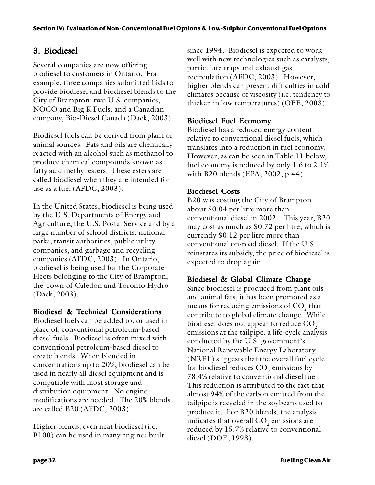## 3. Biodiesel

Several companies are now offering biodiesel to customers in Ontario. For example, three companies submitted bids to provide biodiesel and biodiesel blends to the City of Brampton; two U.S. companies, NOCO and Big K Fuels, and a Canadian company, Bio-Diesel Canada (Dack, 2003).

Biodiesel fuels can be derived from plant or animal sources. Fats and oils are chemically reacted with an alcohol such as methanol to produce chemical compounds known as fatty acid methyl esters. These esters are called biodiesel when they are intended for use as a fuel (AFDC, 2003).

In the United States, biodiesel is being used by the U.S. Departments of Energy and Agriculture, the U.S. Postal Service and by a large number of school districts, national parks, transit authorities, public utility companies, and garbage and recycling companies (AFDC, 2003). In Ontario, biodiesel is being used for the Corporate Fleets belonging to the City of Brampton, the Town of Caledon and Toronto Hydro (Dack, 2003).

#### Biodiesel & Technical Considerations

Biodiesel fuels can be added to, or used in place of, conventional petroleum-based diesel fuels. Biodiesel is often mixed with conventional petroleum-based diesel to create blends. When blended in concentrations up to 20%, biodiesel can be used in nearly all diesel equipment and is compatible with most storage and distribution equipment. No engine modifications are needed. The 20% blends are called B20 (AFDC, 2003).

Higher blends, even neat biodiesel (i.e. B100) can be used in many engines built since 1994. Biodiesel is expected to work well with new technologies such as catalysts, particulate traps and exhaust gas recirculation (AFDC, 2003). However, higher blends can present difficulties in cold climates because of viscosity (i.e. tendency to thicken in low temperatures) (OEE, 2003).

#### Biodiesel Fuel Economy

Biodiesel has a reduced energy content relative to conventional diesel fuels, which translates into a reduction in fuel economy. However, as can be seen in Table 11 below, fuel economy is reduced by only 1.6 to 2.1% with B20 blends (EPA, 2002, p.44).

#### **Biodiesel Costs**

B20 was costing the City of Brampton about \$0.04 per litre more than conventional diesel in 2002. This year, B20 may cost as much as \$0.72 per litre, which is currently \$0.12 per litre more than conventional on-road diesel. If the U.S. reinstates its subsidy, the price of biodiesel is expected to drop again.

#### Biodiesel & Global Climate Change

Since biodiesel is produced from plant oils and animal fats, it has been promoted as a means for reducing emissions of CO<sub>2</sub> that contribute to global climate change. While biodiesel does not appear to reduce CO<sub>2</sub> emissions at the tailpipe, a life-cycle analysis conducted by the U.S. government's National Renewable Energy Laboratory (NREL) suggests that the overall fuel cycle for biodiesel reduces  $\mathrm{CO}_\mathrm{2}$  emissions by 78.4% relative to conventional diesel fuel. This reduction is attributed to the fact that almost 94% of the carbon emitted from the tailpipe is recycled in the soybeans used to produce it. For B20 blends, the analysis indicates that overall CO<sub>2</sub> emissions are reduced by 15.7% relative to conventional diesel (DOE, 1998).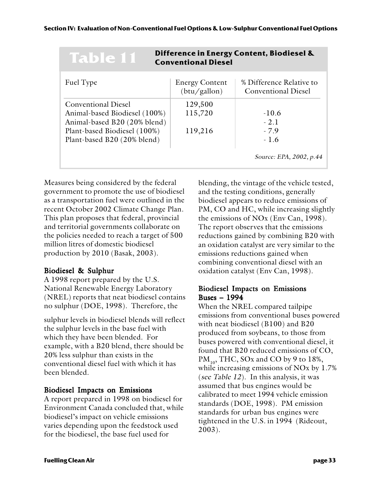| Table 11                                                                                                                                                   | <b>Conventional Diesel</b>            | Difference in Energy Content, Biodiesel &              |
|------------------------------------------------------------------------------------------------------------------------------------------------------------|---------------------------------------|--------------------------------------------------------|
| Fuel Type                                                                                                                                                  | <b>Energy Content</b><br>(btu/gallon) | % Difference Relative to<br><b>Conventional Diesel</b> |
| <b>Conventional Diesel</b><br>Animal-based Biodiesel (100%)<br>Animal-based B20 (20% blend)<br>Plant-based Biodiesel (100%)<br>Plant-based B20 (20% blend) | 129,500<br>115,720<br>119,216         | $-10.6$<br>$-2.1$<br>$-7.9$<br>$-1.6$                  |
|                                                                                                                                                            |                                       | Source: EPA, 2002, p.44                                |

Measures being considered by the federal government to promote the use of biodiesel as a transportation fuel were outlined in the recent October 2002 Climate Change Plan. This plan proposes that federal, provincial and territorial governments collaborate on the policies needed to reach a target of 500 million litres of domestic biodiesel production by 2010 (Basak, 2003).

#### Biodiesel & Sulphur

A 1998 report prepared by the U.S. National Renewable Energy Laboratory (NREL) reports that neat biodiesel contains no sulphur (DOE, 1998). Therefore, the

sulphur levels in biodiesel blends will reflect the sulphur levels in the base fuel with which they have been blended. For example, with a B20 blend, there should be 20% less sulphur than exists in the conventional diesel fuel with which it has been blended.

#### Biodiesel Impacts on Emissions

A report prepared in 1998 on biodiesel for Environment Canada concluded that, while biodiesel's impact on vehicle emissions varies depending upon the feedstock used for the biodiesel, the base fuel used for

blending, the vintage of the vehicle tested, and the testing conditions, generally biodiesel appears to reduce emissions of PM, CO and HC, while increasing slightly the emissions of NOx (Env Can, 1998). The report observes that the emissions reductions gained by combining B20 with an oxidation catalyst are very similar to the emissions reductions gained when combining conventional diesel with an oxidation catalyst (Env Can, 1998).

#### Biodiesel Impacts on Emissions Buses – 1994

When the NREL compared tailpipe emissions from conventional buses powered with neat biodiesel (B100) and B20 produced from soybeans, to those from buses powered with conventional diesel, it found that B20 reduced emissions of CO,  $PM_{10}$ , THC, SOx and CO by 9 to 18%, while increasing emissions of NOx by 1.7% (see Table 12). In this analysis, it was assumed that bus engines would be calibrated to meet 1994 vehicle emission standards (DOE, 1998). PM emission standards for urban bus engines were tightened in the U.S. in 1994 (Rideout, 2003).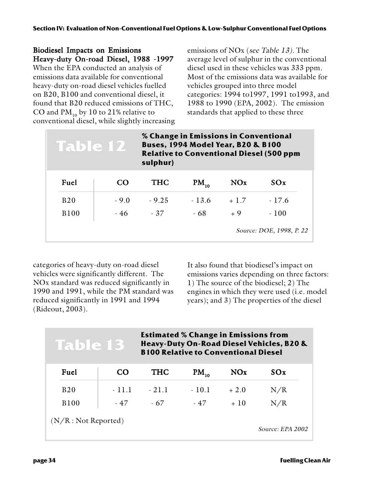Biodiesel Impacts on Emissions Heavy-duty On-road Diesel, 1988 -1997 When the EPA conducted an analysis of emissions data available for conventional heavy-duty on-road diesel vehicles fuelled on B20, B100 and conventional diesel, it found that B20 reduced emissions of THC, CO and  $PM_{10}$  by 10 to 21% relative to conventional diesel, while slightly increasing emissions of NOx (see Table 13). The average level of sulphur in the conventional diesel used in these vehicles was 333 ppm. Most of the emissions data was available for vehicles grouped into three model categories: 1994 to1997, 1991 to1993, and 1988 to 1990 (EPA, 2002). The emission standards that applied to these three

| <b>Table 12</b> |           | sulphur)   | % Change in Emissions in Conventional<br><b>Buses, 1994 Model Year, B20 &amp; B100</b> |            | <b>Relative to Conventional Diesel (500 ppm</b> |
|-----------------|-----------|------------|----------------------------------------------------------------------------------------|------------|-------------------------------------------------|
| Fuel            | <b>CO</b> | <b>THC</b> | $PM_{10}$                                                                              | <b>NOx</b> | SOx                                             |
| <b>B20</b>      | $-9.0$    | $-9.25$    | $-13.6$                                                                                | $+1.7$     | $-17.6$                                         |
| <b>B100</b>     | $-46$     | $-37$      | - 68                                                                                   | $+9$       | $-100$                                          |
|                 |           |            |                                                                                        |            | Source: DOE, 1998, P. 22                        |

categories of heavy-duty on-road diesel vehicles were significantly different. The NOx standard was reduced significantly in 1990 and 1991, while the PM standard was reduced significantly in 1991 and 1994 (Rideout, 2003).

It also found that biodiesel's impact on emissions varies depending on three factors: 1) The source of the biodiesel; 2) The engines in which they were used (i.e. model years); and 3) The properties of the diesel

| <b>Table 13</b>                         |        |            | <b>Estimated % Change in Emissions from</b><br><b>B100 Relative to Conventional Diesel</b> |            | Heavy-Duty On-Road Diesel Vehicles, B20 & |
|-----------------------------------------|--------|------------|--------------------------------------------------------------------------------------------|------------|-------------------------------------------|
| Fuel                                    | CO     | <b>THC</b> | $PM_{10}$                                                                                  | <b>NOx</b> | SOx                                       |
| <b>B20</b>                              | - 11.1 | $-211$     | $-10.1$                                                                                    | $+2.0$     | N/R                                       |
| <b>B100</b>                             | - 47   | $-67$      | - 47                                                                                       | $+10$      | N/R                                       |
| (N/R: Not Reported)<br>Source: EPA 2002 |        |            |                                                                                            |            |                                           |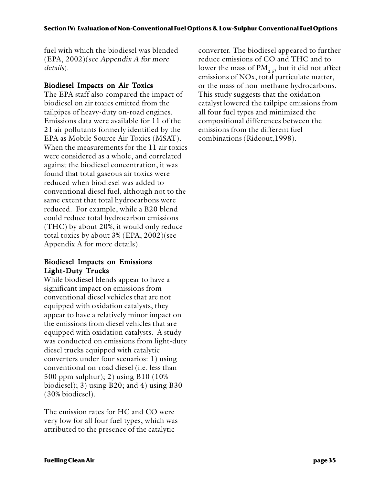fuel with which the biodiesel was blended (EPA, 2002)(see Appendix A for more details).

#### Biodiesel Impacts on Air Toxics

The EPA staff also compared the impact of biodiesel on air toxics emitted from the tailpipes of heavy-duty on-road engines. Emissions data were available for 11 of the 21 air pollutants formerly identified by the EPA as Mobile Source Air Toxics (MSAT). When the measurements for the 11 air toxics were considered as a whole, and correlated against the biodiesel concentration, it was found that total gaseous air toxics were reduced when biodiesel was added to conventional diesel fuel, although not to the same extent that total hydrocarbons were reduced. For example, while a B20 blend could reduce total hydrocarbon emissions (THC) by about 20%, it would only reduce total toxics by about 3% (EPA, 2002)(see Appendix A for more details).

#### Biodiesel Impacts on Emissions Light-Duty Trucks

While biodiesel blends appear to have a significant impact on emissions from conventional diesel vehicles that are not equipped with oxidation catalysts, they appear to have a relatively minor impact on the emissions from diesel vehicles that are equipped with oxidation catalysts. A study was conducted on emissions from light-duty diesel trucks equipped with catalytic converters under four scenarios: 1) using conventional on-road diesel (i.e. less than 500 ppm sulphur); 2) using B10 (10% biodiesel); 3) using B20; and 4) using B30 (30% biodiesel).

The emission rates for HC and CO were very low for all four fuel types, which was attributed to the presence of the catalytic

converter. The biodiesel appeared to further reduce emissions of CO and THC and to lower the mass of  $PM_{2,5}$ , but it did not affect emissions of NOx, total particulate matter, or the mass of non-methane hydrocarbons. This study suggests that the oxidation catalyst lowered the tailpipe emissions from all four fuel types and minimized the compositional differences between the emissions from the different fuel combinations (Rideout,1998).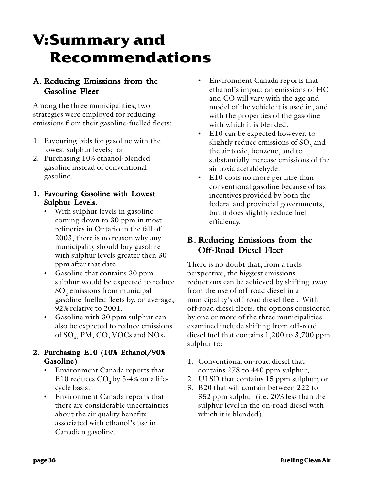## **V:Summary and Recommendations**

## A. Reducing Emissions from the Gasoline Fleet

Among the three municipalities, two strategies were employed for reducing emissions from their gasoline-fuelled fleets:

- 1. Favouring bids for gasoline with the lowest sulphur levels; or
- 2. Purchasing 10% ethanol-blended gasoline instead of conventional gasoline.

#### 1. Favouring Gasoline with Lowest Sulphur Levels.

- With sulphur levels in gasoline coming down to 30 ppm in most refineries in Ontario in the fall of 2003, there is no reason why any municipality should buy gasoline with sulphur levels greater then 30 ppm after that date.
- Gasoline that contains 30 ppm sulphur would be expected to reduce SO<sub>2</sub> emissions from municipal gasoline-fuelled fleets by, on average, 92% relative to 2001.
- Gasoline with 30 ppm sulphur can also be expected to reduce emissions of  $SO_4$ , PM, CO, VOCs and NOx.

#### 2. Purchasing E10 (10% Ethanol/90% Gasoline)

- Environment Canada reports that E10 reduces  $CO<sub>2</sub>$  by 3-4% on a lifecycle basis.
- Environment Canada reports that there are considerable uncertainties about the air quality benefits associated with ethanol's use in Canadian gasoline.
- Environment Canada reports that ethanol's impact on emissions of HC and CO will vary with the age and model of the vehicle it is used in, and with the properties of the gasoline with which it is blended.
- E10 can be expected however, to slightly reduce emissions of  $SO<sub>2</sub>$  and the air toxic, benzene, and to substantially increase emissions of the air toxic acetaldehyde.
- E10 costs no more per litre than conventional gasoline because of tax incentives provided by both the federal and provincial governments, but it does slightly reduce fuel efficiency.

## B. Reducing Emissions from the Off-Road Diesel Fleet

There is no doubt that, from a fuels perspective, the biggest emissions reductions can be achieved by shifting away from the use of off-road diesel in a municipality's off-road diesel fleet. With off-road diesel fleets, the options considered by one or more of the three municipalities examined include shifting from off-road diesel fuel that contains 1,200 to 3,700 ppm sulphur to:

- 1. Conventional on-road diesel that contains 278 to 440 ppm sulphur;
- 2. ULSD that contains 15 ppm sulphur; or
- 3. B20 that will contain between 222 to 352 ppm sulphur (i.e. 20% less than the sulphur level in the on-road diesel with which it is blended).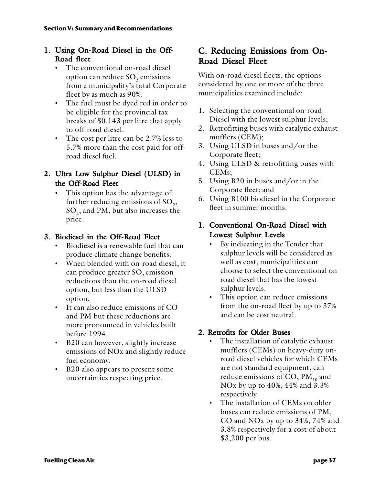#### 1. Using On-Road Diesel in the Off-Road fleet

- The conventional on-road diesel option can reduce SO<sub>2</sub> emissions from a municipality's total Corporate fleet by as much as 90%.
- The fuel must be dyed red in order to be eligible for the provincial tax breaks of \$0.143 per litre that apply to off-road diesel.
- The cost per litre can be 2.7% less to 5.7% more than the cost paid for offroad diesel fuel.
- 2. Ultra Low Sulphur Diesel (ULSD) in the Off-Road Fleet
	- This option has the advantage of further reducing emissions of  $SO<sub>2</sub>$ ,  $SO_4$ , and PM, but also increases the price.

#### 3. Biodiesel in the Off-Road Fleet

- Biodiesel is a renewable fuel that can produce climate change benefits.
- When blended with on-road diesel, it can produce greater SO<sub>2</sub> emission reductions than the on-road diesel option, but less than the ULSD option.
- It can also reduce emissions of CO and PM but these reductions are more pronounced in vehicles built before 1994.
- B20 can however, slightly increase emissions of NOx and slightly reduce fuel economy.
- B20 also appears to present some uncertainties respecting price.

## C. Reducing Emissions from On-Road Diesel Fleet

With on-road diesel fleets, the options considered by one or more of the three municipalities examined include:

- 1. Selecting the conventional on-road Diesel with the lowest sulphur levels;
- 2. Retrofitting buses with catalytic exhaust mufflers (CEM);
- 3. Using ULSD in buses and/or the Corporate fleet;
- 4. Using ULSD & retrofitting buses with CEMs;
- 5. Using B20 in buses and/or in the Corporate fleet; and
- 6. Using B100 biodiesel in the Corporate fleet in summer months.

### 1. Conventional On-Road Diesel with Lowest Sulphur Levels

- By indicating in the Tender that sulphur levels will be considered as well as cost, municipalities can choose to select the conventional onroad diesel that has the lowest sulphur levels.
- This option can reduce emissions from the on-road fleet by up to 37% and can be cost neutral.

#### 2. Retrofits for Older Buses

- The installation of catalytic exhaust mufflers (CEMs) on heavy-duty onroad diesel vehicles for which CEMs are not standard equipment, can reduce emissions of CO,  $PM_{10}$  and NOx by up to 40%, 44% and 3.3% respectively.
- The installation of CEMs on older buses can reduce emissions of PM, CO and NOx by up to 34%, 74% and 3.8% respectively for a cost of about \$3,200 per bus.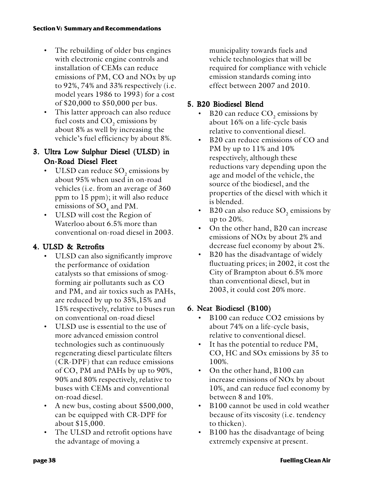- The rebuilding of older bus engines with electronic engine controls and installation of CEMs can reduce emissions of PM, CO and NOx by up to 92%, 74% and 33% respectively (i.e. model years 1986 to 1993) for a cost of \$20,000 to \$50,000 per bus.
- This latter approach can also reduce fuel costs and CO<sub>2</sub> emissions by about 8% as well by increasing the vehicle's fuel efficiency by about 8%.
- 3. Ultra Low Sulphur Diesel (ULSD) in On-Road Diesel Fleet
	- ULSD can reduce  $SO_2$  emissions by about 95% when used in on-road vehicles (i.e. from an average of 360 ppm to 15 ppm); it will also reduce emissions of  $SO_4$  and PM.
	- ULSD will cost the Region of Waterloo about 6.5% more than conventional on-road diesel in 2003.

## 4. ULSD & Retrofits

- ULSD can also significantly improve the performance of oxidation catalysts so that emissions of smogforming air pollutants such as CO and PM, and air toxics such as PAHs, are reduced by up to 35%,15% and 15% respectively, relative to buses run on conventional on-road diesel
- ULSD use is essential to the use of more advanced emission control technologies such as continuously regenerating diesel particulate filters (CR-DPF) that can reduce emissions of CO, PM and PAHs by up to 90%, 90% and 80% respectively, relative to buses with CEMs and conventional on-road diesel.
- A new bus, costing about \$500,000, can be equipped with CR-DPF for about \$15,000.
- The ULSD and retrofit options have the advantage of moving a

municipality towards fuels and vehicle technologies that will be required for compliance with vehicle emission standards coming into effect between 2007 and 2010.

## 5. B20 Biodiesel Blend

- B20 can reduce CO<sub>2</sub> emissions by about 16% on a life-cycle basis relative to conventional diesel.
- B20 can reduce emissions of CO and PM by up to 11% and 10% respectively, although these reductions vary depending upon the age and model of the vehicle, the source of the biodiesel, and the properties of the diesel with which it is blended.
- B20 can also reduce  $SO_2$  emissions by up to 20%.
- On the other hand, B20 can increase emissions of NOx by about 2% and decrease fuel economy by about 2%.
- B20 has the disadvantage of widely fluctuating prices; in 2002, it cost the City of Brampton about 6.5% more than conventional diesel, but in 2003, it could cost 20% more.

## 6. Neat Biodiesel (B100)

- B100 can reduce CO2 emissions by about 74% on a life-cycle basis, relative to conventional diesel.
- It has the potential to reduce PM, CO, HC and SOx emissions by 35 to 100%.
- On the other hand, B100 can increase emissions of NOx by about 10%, and can reduce fuel economy by between 8 and 10%.
- B100 cannot be used in cold weather because of its viscosity (i.e. tendency to thicken).
- B100 has the disadvantage of being extremely expensive at present.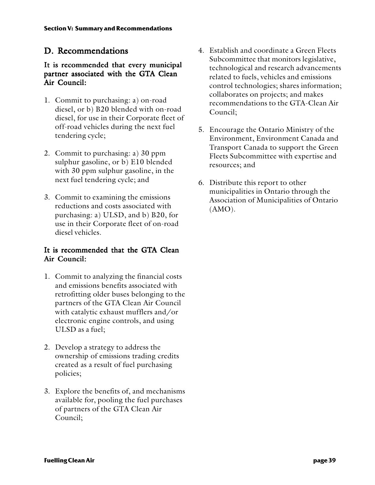### D. Recommendations

#### It is recommended that every municipal partner associated with the GTA Clean Air Council:

- 1. Commit to purchasing: a) on-road diesel, or b) B20 blended with on-road diesel, for use in their Corporate fleet of off-road vehicles during the next fuel tendering cycle;
- 2. Commit to purchasing: a) 30 ppm sulphur gasoline, or b) E10 blended with 30 ppm sulphur gasoline, in the next fuel tendering cycle; and
- 3. Commit to examining the emissions reductions and costs associated with purchasing: a) ULSD, and b) B20, for use in their Corporate fleet of on-road diesel vehicles.

#### It is recommended that the GTA Clean Air Council:

- 1. Commit to analyzing the financial costs and emissions benefits associated with retrofitting older buses belonging to the partners of the GTA Clean Air Council with catalytic exhaust mufflers and/or electronic engine controls, and using ULSD as a fuel;
- 2. Develop a strategy to address the ownership of emissions trading credits created as a result of fuel purchasing policies;
- 3. Explore the benefits of, and mechanisms available for, pooling the fuel purchases of partners of the GTA Clean Air Council;
- 4. Establish and coordinate a Green Fleets Subcommittee that monitors legislative, technological and research advancements related to fuels, vehicles and emissions control technologies; shares information; collaborates on projects; and makes recommendations to the GTA-Clean Air Council;
- 5. Encourage the Ontario Ministry of the Environment, Environment Canada and Transport Canada to support the Green Fleets Subcommittee with expertise and resources; and
- 6. Distribute this report to other municipalities in Ontario through the Association of Municipalities of Ontario (AMO).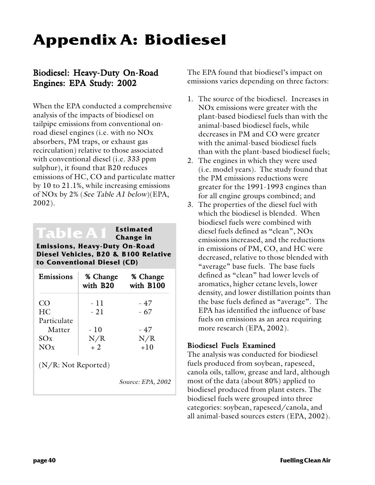## **Appendix A: Biodiesel**

## Biodiesel: Heavy-Duty On-Road Engines: EPA Study: 2002

When the EPA conducted a comprehensive analysis of the impacts of biodiesel on tailpipe emissions from conventional onroad diesel engines (i.e. with no NOx absorbers, PM traps, or exhaust gas recirculation) relative to those associated with conventional diesel (i.e. 333 ppm sulphur), it found that B20 reduces emissions of HC, CO and particulate matter by 10 to 21.1%, while increasing emissions of NOx by 2% (See Table A1 below)(EPA, 2002).

## **Estimated**<br>**Change in**

**Emissions, Heavy-Duty On-Road Diesel Vehicles, B20 & B100 Relative to Conventional Diesel (CD)**

| Emissions           | % Change<br>with B20 | % Change<br>with B100    |
|---------------------|----------------------|--------------------------|
| CO                  | - 11                 | - 47                     |
| HС                  | $-21$                | - 67                     |
| Particulate         |                      |                          |
| Matter              | - 10                 | - 47                     |
| SOx                 | N/R                  | N/R                      |
| NOx                 | $+2$                 | $+10$                    |
| (N/R: Not Reported) |                      |                          |
|                     |                      | <i>Source: EPA, 2002</i> |

The EPA found that biodiesel's impact on emissions varies depending on three factors:

- 1. The source of the biodiesel. Increases in NOx emissions were greater with the plant-based biodiesel fuels than with the animal-based biodiesel fuels, while decreases in PM and CO were greater with the animal-based biodiesel fuels than with the plant-based biodiesel fuels;
- 2. The engines in which they were used (i.e. model years). The study found that the PM emissions reductions were greater for the 1991-1993 engines than for all engine groups combined; and
- 3. The properties of the diesel fuel with which the biodiesel is blended. When biodiesel fuels were combined with diesel fuels defined as "clean", NOx emissions increased, and the reductions in emissions of PM, CO, and HC were decreased, relative to those blended with "average" base fuels. The base fuels defined as "clean" had lower levels of aromatics, higher cetane levels, lower density, and lower distillation points than the base fuels defined as "average". The EPA has identified the influence of base fuels on emissions as an area requiring more research (EPA, 2002).

#### Biodiesel Fuels Examined

The analysis was conducted for biodiesel fuels produced from soybean, rapeseed, canola oils, tallow, grease and lard, although most of the data (about 80%) applied to biodiesel produced from plant esters. The biodiesel fuels were grouped into three categories: soybean, rapeseed/canola, and all animal-based sources esters (EPA, 2002).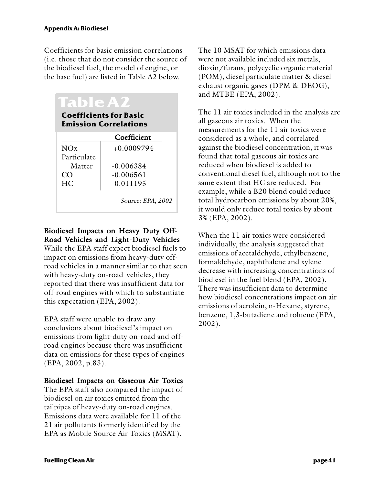Coefficients for basic emission correlations (i.e. those that do not consider the source of the biodiesel fuel, the model of engine, or the base fuel) are listed in Table A2 below.

## **Table A2**

**Coefficients for Basic Emission Correlations**

|                            | Coefficient       |
|----------------------------|-------------------|
| NOx                        | $+0.0009794$      |
| Particulate                |                   |
| Matter                     | -0.006384         |
| $\mathcal{C}(\mathcal{A})$ | $-0.006561$       |
| HC.                        | $-0.011195$       |
|                            | Source: EPA, 2002 |

#### Biodiesel Impacts on Heavy Duty Off-Road Vehicles and Light-Duty Vehicles

While the EPA staff expect biodiesel fuels to impact on emissions from heavy-duty offroad vehicles in a manner similar to that seen with heavy-duty on-road vehicles, they reported that there was insufficient data for off-road engines with which to substantiate this expectation (EPA, 2002).

EPA staff were unable to draw any conclusions about biodiesel's impact on emissions from light-duty on-road and offroad engines because there was insufficient data on emissions for these types of engines (EPA, 2002, p.83).

#### Biodiesel Impacts on Gaseous Air Toxics

The EPA staff also compared the impact of biodiesel on air toxics emitted from the tailpipes of heavy-duty on-road engines. Emissions data were available for 11 of the 21 air pollutants formerly identified by the EPA as Mobile Source Air Toxics (MSAT).

The 10 MSAT for which emissions data were not available included six metals, dioxin/furans, polycyclic organic material (POM), diesel particulate matter & diesel exhaust organic gases (DPM & DEOG), and MTBE (EPA, 2002).

The 11 air toxics included in the analysis are all gaseous air toxics. When the measurements for the 11 air toxics were considered as a whole, and correlated against the biodiesel concentration, it was found that total gaseous air toxics are reduced when biodiesel is added to conventional diesel fuel, although not to the same extent that HC are reduced. For example, while a B20 blend could reduce total hydrocarbon emissions by about 20%, it would only reduce total toxics by about 3% (EPA, 2002).

When the 11 air toxics were considered individually, the analysis suggested that emissions of acetaldehyde, ethylbenzene, formaldehyde, naphthalene and xylene decrease with increasing concentrations of biodiesel in the fuel blend (EPA, 2002). There was insufficient data to determine how biodiesel concentrations impact on air emissions of acrolein, n-Hexane, styrene, benzene, 1,3-butadiene and toluene (EPA, 2002).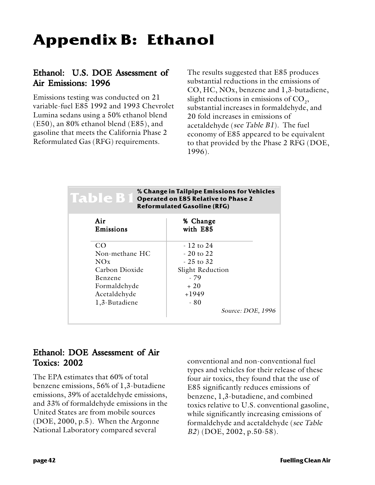## **Appendix B: Ethanol**

## Ethanol: U.S. DOE Assessment of Air Emissions: 1996

Emissions testing was conducted on 21 variable-fuel E85 1992 and 1993 Chevrolet Lumina sedans using a 50% ethanol blend (E50), an 80% ethanol blend (E85), and gasoline that meets the California Phase 2 Reformulated Gas (RFG) requirements.

The results suggested that E85 produces substantial reductions in the emissions of CO, HC, NOx, benzene and 1,3-butadiene, slight reductions in emissions of  $CO<sub>2</sub>$ , substantial increases in formaldehyde, and 20 fold increases in emissions of acetaldehyde (see Table B1). The fuel economy of E85 appeared to be equivalent to that provided by the Phase 2 RFG (DOE, 1996).

| % Change in Tailpipe Emissions for Vehicles<br><b>Table B1</b><br><b>Operated on E85 Relative to Phase 2</b><br><b>Reformulated Gasoline (RFG)</b> |                          |  |  |  |  |
|----------------------------------------------------------------------------------------------------------------------------------------------------|--------------------------|--|--|--|--|
| Air<br>Emissions                                                                                                                                   | % Change<br>with E85     |  |  |  |  |
| CO                                                                                                                                                 | $-12$ to 24              |  |  |  |  |
| Non-methane HC                                                                                                                                     | $-20$ to $22$            |  |  |  |  |
| NOx                                                                                                                                                | - 25 to 32               |  |  |  |  |
| Carbon Dioxide                                                                                                                                     | Slight Reduction         |  |  |  |  |
| <b>Benzene</b>                                                                                                                                     | - 79                     |  |  |  |  |
| Formaldehyde                                                                                                                                       | $+20$                    |  |  |  |  |
| Acetaldehyde                                                                                                                                       | $+1949$                  |  |  |  |  |
| 1,3-Butadiene                                                                                                                                      | - 80                     |  |  |  |  |
|                                                                                                                                                    | <i>Source: DOE, 1996</i> |  |  |  |  |

## Ethanol: DOE Assessment of Air Toxics: 2002

The EPA estimates that 60% of total benzene emissions, 56% of 1,3-butadiene emissions, 39% of acetaldehyde emissions, and 33% of formaldehyde emissions in the United States are from mobile sources (DOE, 2000, p.5). When the Argonne National Laboratory compared several

conventional and non-conventional fuel types and vehicles for their release of these four air toxics, they found that the use of E85 significantly reduces emissions of benzene, 1,3-butadiene, and combined toxics relative to U.S. conventional gasoline, while significantly increasing emissions of formaldehyde and acetaldehyde (see Table B2) (DOE, 2002, p.50-58).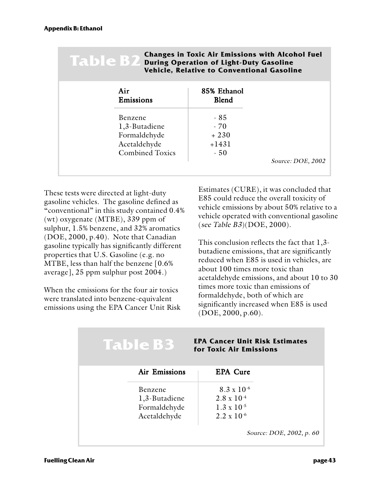| <b>Changes in Toxic Air Emissions with Alcohol Fuel</b><br><b>Table B2</b><br><b>During Operation of Light-Duty Gasoline</b><br><b>Vehicle, Relative to Conventional Gasoline</b> |                              |                             |                   |  |  |
|-----------------------------------------------------------------------------------------------------------------------------------------------------------------------------------|------------------------------|-----------------------------|-------------------|--|--|
|                                                                                                                                                                                   | Air<br>Emissions             | 85% Ethanol<br><b>Blend</b> |                   |  |  |
|                                                                                                                                                                                   | Benzene<br>1,3-Butadiene     | $-85$<br>$-70$              |                   |  |  |
|                                                                                                                                                                                   | Formaldehyde<br>Acetaldehyde | $+230$<br>$+1431$           |                   |  |  |
|                                                                                                                                                                                   | <b>Combined Toxics</b>       | $-50$                       | Source: DOE, 2002 |  |  |

These tests were directed at light-duty gasoline vehicles. The gasoline defined as "conventional" in this study contained 0.4% (wt) oxygenate (MTBE), 339 ppm of sulphur, 1.5% benzene, and 32% aromatics (DOE, 2000, p.40). Note that Canadian gasoline typically has significantly different properties that U.S. Gasoline (e.g. no MTBE, less than half the benzene [0.6% average], 25 ppm sulphur post 2004.)

When the emissions for the four air toxics were translated into benzene-equivalent emissions using the EPA Cancer Unit Risk Estimates (CURE), it was concluded that E85 could reduce the overall toxicity of vehicle emissions by about 50% relative to a vehicle operated with conventional gasoline (see Table B3)(DOE, 2000).

This conclusion reflects the fact that 1,3 butadiene emissions, that are significantly reduced when E85 is used in vehicles, are about 100 times more toxic than acetaldehyde emissions, and about 10 to 30 times more toxic than emissions of formaldehyde, both of which are significantly increased when E85 is used (DOE, 2000, p.60).

| <b>Table B3</b> | <b>EPA Cancer Unit Risk Estimates</b><br>for Toxic Air Emissions |
|-----------------|------------------------------------------------------------------|
| Air Emissions   | <b>EPA Cure</b>                                                  |
| <b>Benzene</b>  | $8.3 \times 10^{-6}$                                             |
| 1,3-Butadiene   | $2.8 \times 10^{-4}$                                             |
| Formaldehyde    | $1.3 \times 10^{-5}$                                             |
| Acetaldehyde    | $2.2 \times 10^{-6}$                                             |
|                 | Source: DOE, 2002, p. 60                                         |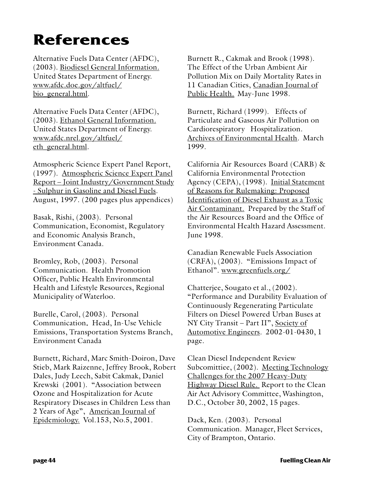Alternative Fuels Data Center (AFDC), (2003). Biodiesel General Information. United States Department of Energy. www.afdc.doe.gov/altfuel/ bio\_general.html.

Alternative Fuels Data Center (AFDC), (2003). Ethanol General Information. United States Department of Energy. www.afdc.nrel.gov/altfuel/ eth\_general.html.

Atmospheric Science Expert Panel Report, (1997). Atmospheric Science Expert Panel Report – Joint Industry/Government Study - Sulphur in Gasoline and Diesel Fuels. August, 1997. (200 pages plus appendices)

Basak, Rishi, (2003). Personal Communication, Economist, Regulatory and Economic Analysis Branch, Environment Canada.

Bromley, Rob, (2003). Personal Communication. Health Promotion Officer, Public Health Environmental Health and Lifestyle Resources, Regional Municipality of Waterloo.

Burelle, Carol, (2003). Personal Communication. Head, In-Use Vehicle . Emissions, Transportation Systems Branch, Environment Canada

Burnett, Richard, Marc Smith-Doiron, Dave Stieb, Mark Raizenne, Jeffrey Brook, Robert Dales, Judy Leech, Sabit Cakmak, Daniel Krewski (2001). "Association between Ozone and Hospitalization for Acute Respiratory Diseases in Children Less than 2 Years of Age", American Journal of Epidemiology. Vol.153, No.5, 2001.

Burnett R., Cakmak and Brook (1998). The Effect of the Urban Ambient Air Pollution Mix on Daily Mortality Rates in 11 Canadian Cities, Canadian Journal of Public Health. May-June 1998.

Burnett, Richard (1999). Effects of Particulate and Gaseous Air Pollution on Cardiorespiratory Hospitalization. Archives of Environmental Health. March 1999.

California Air Resources Board (CARB) & California Environmental Protection Agency (CEPA), (1998). Initial Statement of Reasons for Rulemaking: Proposed Identification of Diesel Exhaust as a Toxic Air Contaminant. Prepared by the Staff of the Air Resources Board and the Office of Environmental Health Hazard Assessment. June 1998.

Canadian Renewable Fuels Association (CRFA), (2003). "Emissions Impact of Ethanol". www.greenfuels.org/

Chatterjee, Sougato et al., (2002). "Performance and Durability Evaluation of Continuously Regenerating Particulate Filters on Diesel Powered Urban Buses at NY City Transit – Part II", Society of Automotive Engineers. 2002-01-0430, 1 page.

Clean Diesel Independent Review Subcomittiee, (2002). Meeting Technology Challenges for the 2007 Heavy-Duty Highway Diesel Rule. Report to the Clean Air Act Advisory Committee, Washington, D.C., October 30, 2002, 15 pages.

Dack, Ken. (2003). Personal Communication. Manager, Fleet Services, City of Brampton, Ontario.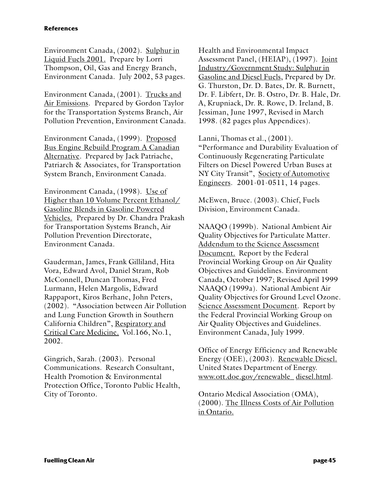Environment Canada, (2002). Sulphur in Liquid Fuels 2001. Prepare by Lorri Thompson, Oil, Gas and Energy Branch, Environment Canada. July 2002, 53 pages.

Environment Canada, (2001). Trucks and Air Emissions. Prepared by Gordon Taylor for the Transportation Systems Branch, Air Pollution Prevention, Environment Canada.

Environment Canada, (1999). Proposed Bus Engine Rebuild Program A Canadian Alternative. Prepared by Jack Patriache, Patriarch & Associates, for Transportation System Branch, Environment Canada.

Environment Canada, (1998). Use of Higher than 10 Volume Percent Ethanol/ Gasoline Blends in Gasoline Powered Vehicles. Prepared by Dr. Chandra Prakash for Transportation Systems Branch, Air Pollution Prevention Directorate, Environment Canada.

Gauderman, James, Frank Gilliland, Hita Vora, Edward Avol, Daniel Stram, Rob McConnell, Duncan Thomas, Fred Lurmann, Helen Margolis, Edward Rappaport, Kiros Berhane, John Peters, (2002). "Association between Air Pollution and Lung Function Growth in Southern California Children", Respiratory and Critical Care Medicine. Vol.166, No.1, 2002.

Gingrich, Sarah. (2003). Personal Communications. Research Consultant, Health Promotion & Environmental Protection Office, Toronto Public Health, City of Toronto.

Health and Environmental Impact Assessment Panel, (HEIAP), (1997). Joint Industry/Government Study: Sulphur in Gasoline and Diesel Fuels, Prepared by Dr. G. Thurston, Dr. D. Bates, Dr. R. Burnett, Dr. F. Libfert, Dr. B. Ostro, Dr. B. Hale, Dr. A, Krupniack, Dr. R. Rowe, D. Ireland, B. Jessiman, June 1997, Revised in March 1998. (82 pages plus Appendices).

Lanni, Thomas et al., (2001). "Performance and Durability Evaluation of Continuously Regenerating Particulate Filters on Diesel Powered Urban Buses at NY City Transit", Society of Automotive Engineers. 2001-01-0511, 14 pages.

McEwen, Bruce. (2003). Chief, Fuels Division, Environment Canada.

NAAQO (1999b). National Ambient Air Quality Objectives for Particulate Matter. Addendum to the Science Assessment Document. Report by the Federal Provincial Working Group on Air Quality Objectives and Guidelines. Environment Canada, October 1997; Revised April 1999 NAAQO (1999a). National Ambient Air Quality Objectives for Ground Level Ozone. Science Assessment Document. Report by the Federal Provincial Working Group on Air Quality Objectives and Guidelines. Environment Canada, July 1999.

Office of Energy Efficiency and Renewable Energy (OEE), (2003). Renewable Diesel. United States Department of Energy. www.ott.doe.gov/renewable\_ diesel.html.

Ontario Medical Association (OMA), (2000). The Illness Costs of Air Pollution in Ontario.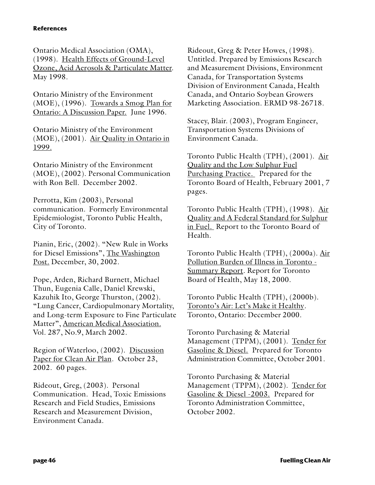Ontario Medical Association (OMA), (1998). Health Effects of Ground-Level Ozone, Acid Aerosols & Particulate Matter. May 1998.

Ontario Ministry of the Environment (MOE), (1996). Towards a Smog Plan for Ontario: A Discussion Paper. June 1996.

Ontario Ministry of the Environment (MOE), (2001). Air Quality in Ontario in 1999.

Ontario Ministry of the Environment (MOE), (2002). Personal Communication with Ron Bell. December 2002.

Perrotta, Kim (2003), Personal communication. Formerly Environmental Epidemiologist, Toronto Public Health, City of Toronto.

Pianin, Eric, (2002). "New Rule in Works for Diesel Emissions", The Washington Post. December, 30, 2002.

Pope, Arden, Richard Burnett, Michael Thun, Eugenia Calle, Daniel Krewski, Kazuhik Ito, George Thurston, (2002). "Lung Cancer, Cardiopulmonary Mortality, and Long-term Exposure to Fine Particulate Matter", American Medical Association. Vol. 287, No.9, March 2002.

Region of Waterloo, (2002). Discussion Paper for Clean Air Plan. October 23, 2002. 60 pages.

Rideout, Greg, (2003). Personal Communication. Head, Toxic Emissions Research and Field Studies, Emissions Research and Measurement Division, Environment Canada.

Rideout, Greg & Peter Howes, (1998). Untitled. Prepared by Emissions Research and Measurement Divisions, Environment Canada, for Transportation Systems Division of Environment Canada, Health Canada, and Ontario Soybean Growers Marketing Association. ERMD 98-26718.

Stacey, Blair. (2003), Program Engineer, Transportation Systems Divisions of Environment Canada.

Toronto Public Health (TPH), (2001). Air Quality and the Low Sulphur Fuel Purchasing Practice. Prepared for the Toronto Board of Health, February 2001, 7 pages.

Toronto Public Health (TPH), (1998). Air Quality and A Federal Standard for Sulphur in Fuel. Report to the Toronto Board of Health.

Toronto Public Health (TPH), (2000a). Air Pollution Burden of Illness in Toronto - Summary Report. Report for Toronto Board of Health, May 18, 2000.

Toronto Public Health (TPH), (2000b). Toronto's Air: Let's Make it Healthy. Toronto, Ontario: December 2000.

Toronto Purchasing & Material Management (TPPM), (2001). Tender for Gasoline & Diesel. Prepared for Toronto Administration Committee, October 2001.

Toronto Purchasing & Material Management (TPPM), (2002). Tender for Gasoline & Diesel -2003. Prepared for Toronto Administration Committee, October 2002.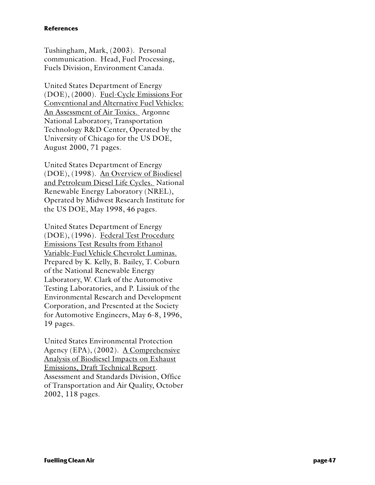Tushingham, Mark, (2003). Personal communication. Head, Fuel Processing, Fuels Division, Environment Canada.

United States Department of Energy (DOE), (2000). Fuel-Cycle Emissions For Conventional and Alternative Fuel Vehicles: An Assessment of Air Toxics. Argonne National Laboratory, Transportation Technology R&D Center, Operated by the University of Chicago for the US DOE, August 2000, 71 pages.

United States Department of Energy (DOE), (1998). An Overview of Biodiesel and Petroleum Diesel Life Cycles. National Renewable Energy Laboratory (NREL), Operated by Midwest Research Institute for the US DOE, May 1998, 46 pages.

United States Department of Energy (DOE), (1996). <u>Federal Test Procedure</u> Emissions Test Results from Ethanol Variable-Fuel Vehicle Chevrolet Luminas. Prepared by K. Kelly, B. Bailey, T. Coburn of the National Renewable Energy Laboratory, W. Clark of the Automotive Testing Laboratories, and P. Lissiuk of the Environmental Research and Development Corporation, and Presented at the Society for Automotive Engineers, May 6-8, 1996, 19 pages.

United States Environmental Protection Agency (EPA), (2002). A Comprehensive Analysis of Biodiesel Impacts on Exhaust Emissions, Draft Technical Report. Assessment and Standards Division, Office of Transportation and Air Quality, October 2002, 118 pages.